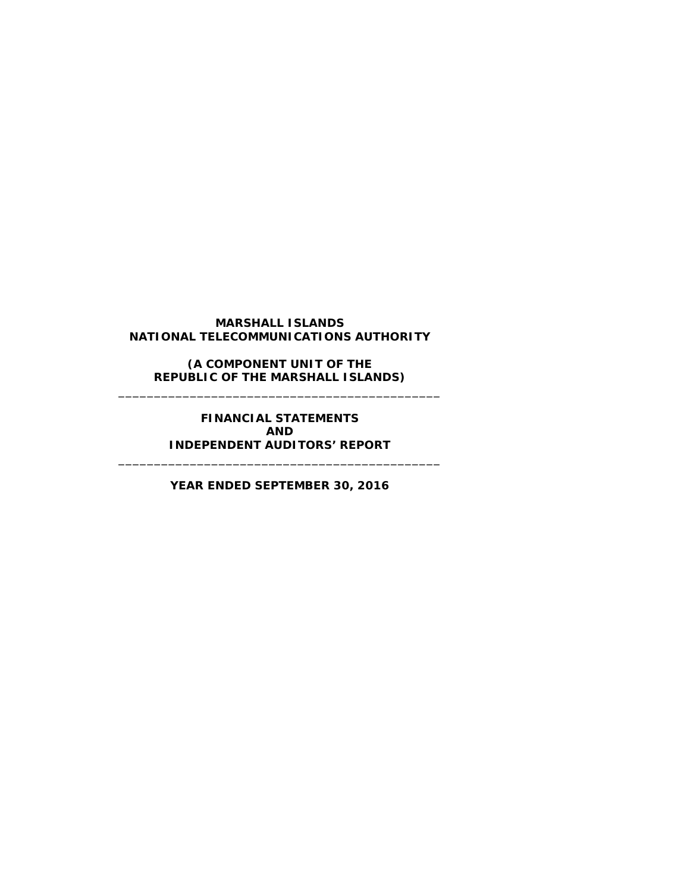**(A COMPONENT UNIT OF THE REPUBLIC OF THE MARSHALL ISLANDS)** \_\_\_\_\_\_\_\_\_\_\_\_\_\_\_\_\_\_\_\_\_\_\_\_\_\_\_\_\_\_\_\_\_\_\_\_\_\_\_\_\_\_\_\_\_

> **FINANCIAL STATEMENTS AND INDEPENDENT AUDITORS' REPORT**

> **YEAR ENDED SEPTEMBER 30, 2016**

\_\_\_\_\_\_\_\_\_\_\_\_\_\_\_\_\_\_\_\_\_\_\_\_\_\_\_\_\_\_\_\_\_\_\_\_\_\_\_\_\_\_\_\_\_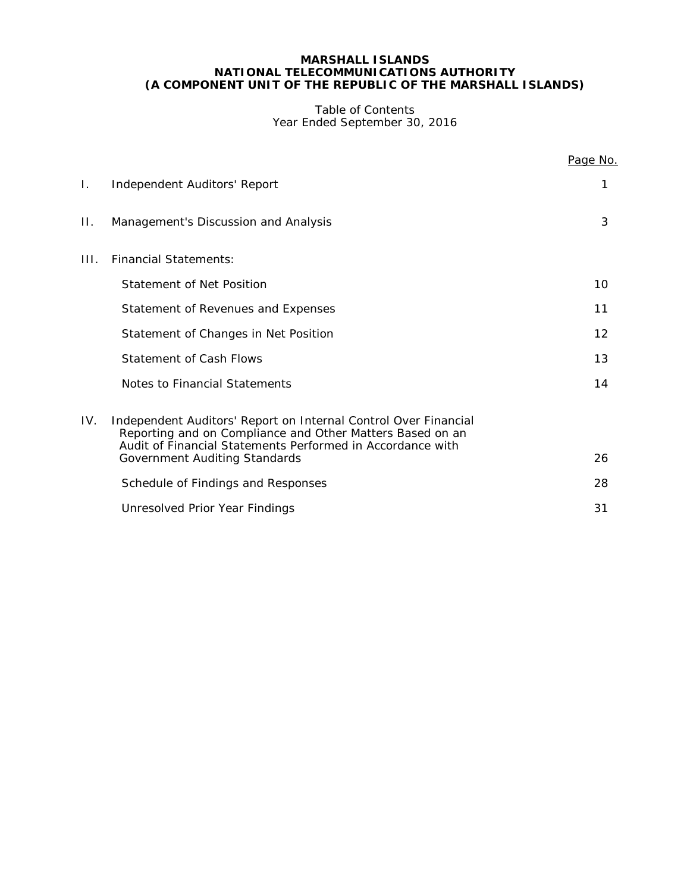# Table of Contents Year Ended September 30, 2016

|     |                                                                                                                                                                                            | Page No. |
|-----|--------------------------------------------------------------------------------------------------------------------------------------------------------------------------------------------|----------|
| I.  | Independent Auditors' Report                                                                                                                                                               | 1        |
| П.  | Management's Discussion and Analysis                                                                                                                                                       | 3        |
| HL. | <b>Financial Statements:</b>                                                                                                                                                               |          |
|     | Statement of Net Position                                                                                                                                                                  | 10       |
|     | Statement of Revenues and Expenses                                                                                                                                                         | 11       |
|     | Statement of Changes in Net Position                                                                                                                                                       | 12       |
|     | <b>Statement of Cash Flows</b>                                                                                                                                                             | 13       |
|     | Notes to Financial Statements                                                                                                                                                              | 14       |
| IV. | Independent Auditors' Report on Internal Control Over Financial<br>Reporting and on Compliance and Other Matters Based on an<br>Audit of Financial Statements Performed in Accordance with |          |
|     | <b>Government Auditing Standards</b>                                                                                                                                                       | 26       |
|     | Schedule of Findings and Responses                                                                                                                                                         | 28       |
|     | Unresolved Prior Year Findings                                                                                                                                                             | 31       |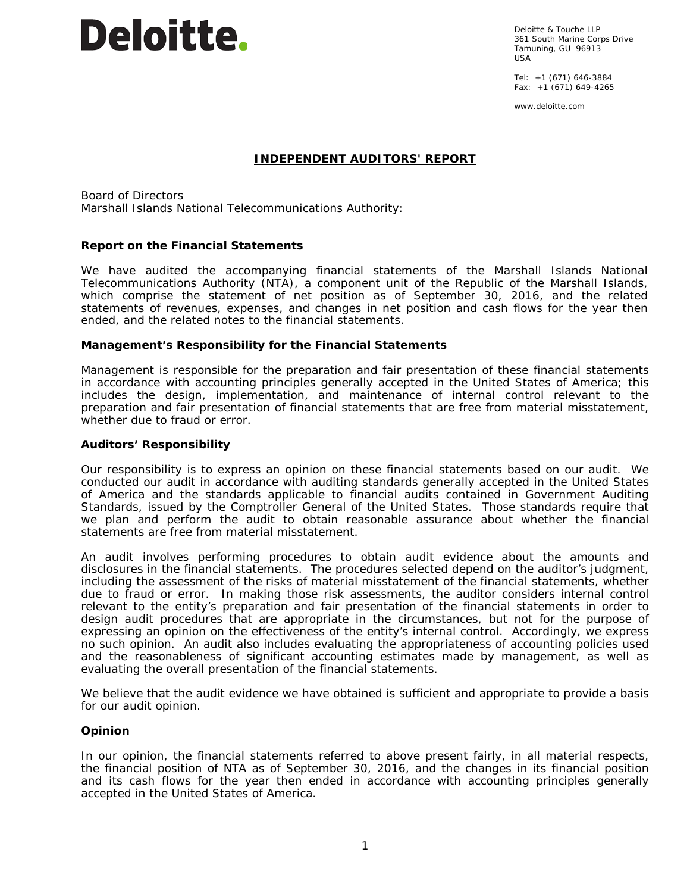

Deloitte & Touche LLP 361 South Marine Corps Drive Tamuning, GU 96913 USA

Tel: +1 (671) 646-3884 Fax: +1 (671) 649-4265

www.deloitte.com

# **INDEPENDENT AUDITORS' REPORT**

Board of Directors Marshall Islands National Telecommunications Authority:

## **Report on the Financial Statements**

We have audited the accompanying financial statements of the Marshall Islands National Telecommunications Authority (NTA), a component unit of the Republic of the Marshall Islands, which comprise the statement of net position as of September 30, 2016, and the related statements of revenues, expenses, and changes in net position and cash flows for the year then ended, and the related notes to the financial statements.

## *Management's Responsibility for the Financial Statements*

Management is responsible for the preparation and fair presentation of these financial statements in accordance with accounting principles generally accepted in the United States of America; this includes the design, implementation, and maintenance of internal control relevant to the preparation and fair presentation of financial statements that are free from material misstatement, whether due to fraud or error.

## *Auditors' Responsibility*

Our responsibility is to express an opinion on these financial statements based on our audit. We conducted our audit in accordance with auditing standards generally accepted in the United States of America and the standards applicable to financial audits contained in *Government Auditing Standards*, issued by the Comptroller General of the United States. Those standards require that we plan and perform the audit to obtain reasonable assurance about whether the financial statements are free from material misstatement.

An audit involves performing procedures to obtain audit evidence about the amounts and disclosures in the financial statements. The procedures selected depend on the auditor's judgment, including the assessment of the risks of material misstatement of the financial statements, whether due to fraud or error. In making those risk assessments, the auditor considers internal control relevant to the entity's preparation and fair presentation of the financial statements in order to design audit procedures that are appropriate in the circumstances, but not for the purpose of expressing an opinion on the effectiveness of the entity's internal control. Accordingly, we express no such opinion. An audit also includes evaluating the appropriateness of accounting policies used and the reasonableness of significant accounting estimates made by management, as well as evaluating the overall presentation of the financial statements.

We believe that the audit evidence we have obtained is sufficient and appropriate to provide a basis for our audit opinion.

## *Opinion*

In our opinion, the financial statements referred to above present fairly, in all material respects, the financial position of NTA as of September 30, 2016, and the changes in its financial position and its cash flows for the year then ended in accordance with accounting principles generally accepted in the United States of America.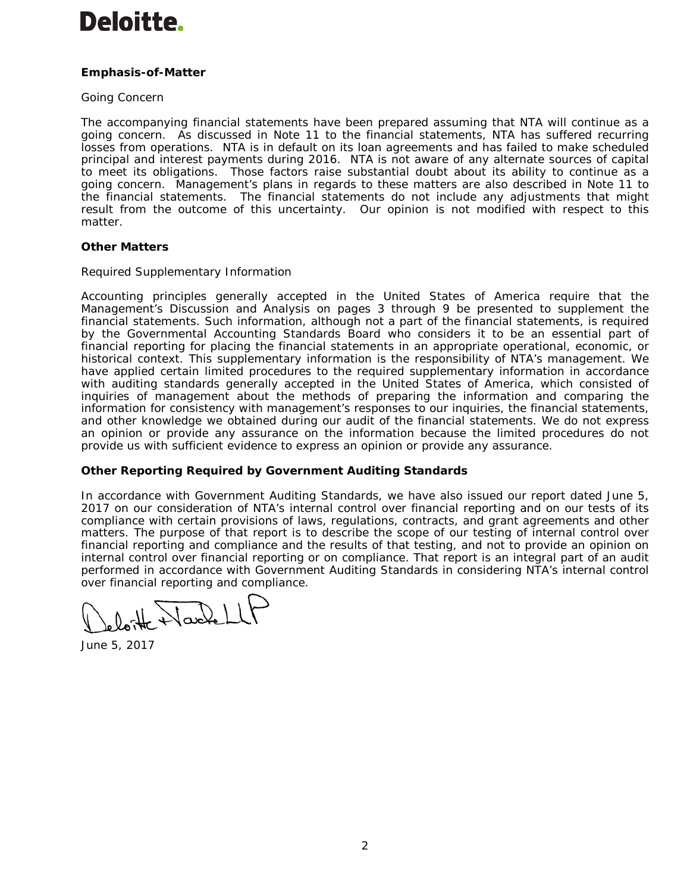# Deloitte.

# **Emphasis-of-Matter**

# *Going Concern*

The accompanying financial statements have been prepared assuming that NTA will continue as a going concern. As discussed in Note 11 to the financial statements, NTA has suffered recurring losses from operations. NTA is in default on its loan agreements and has failed to make scheduled principal and interest payments during 2016. NTA is not aware of any alternate sources of capital to meet its obligations. Those factors raise substantial doubt about its ability to continue as a going concern. Management's plans in regards to these matters are also described in Note 11 to the financial statements. The financial statements do not include any adjustments that might result from the outcome of this uncertainty. Our opinion is not modified with respect to this matter.

# *Other Matters*

# *Required Supplementary Information*

Accounting principles generally accepted in the United States of America require that the Management's Discussion and Analysis on pages 3 through 9 be presented to supplement the financial statements. Such information, although not a part of the financial statements, is required by the Governmental Accounting Standards Board who considers it to be an essential part of financial reporting for placing the financial statements in an appropriate operational, economic, or historical context. This supplementary information is the responsibility of NTA's management. We have applied certain limited procedures to the required supplementary information in accordance with auditing standards generally accepted in the United States of America, which consisted of inquiries of management about the methods of preparing the information and comparing the information for consistency with management's responses to our inquiries, the financial statements, and other knowledge we obtained during our audit of the financial statements. We do not express an opinion or provide any assurance on the information because the limited procedures do not provide us with sufficient evidence to express an opinion or provide any assurance.

# **Other Reporting Required by** *Government Auditing Standards*

In accordance with *Government Auditing Standards*, we have also issued our report dated June 5, 2017 on our consideration of NTA's internal control over financial reporting and on our tests of its compliance with certain provisions of laws, regulations, contracts, and grant agreements and other matters. The purpose of that report is to describe the scope of our testing of internal control over financial reporting and compliance and the results of that testing, and not to provide an opinion on internal control over financial reporting or on compliance. That report is an integral part of an audit performed in accordance with *Government Auditing Standards* in considering NTA's internal control over financial reporting and compliance.

 $J$ ardo  $L$ 

June 5, 2017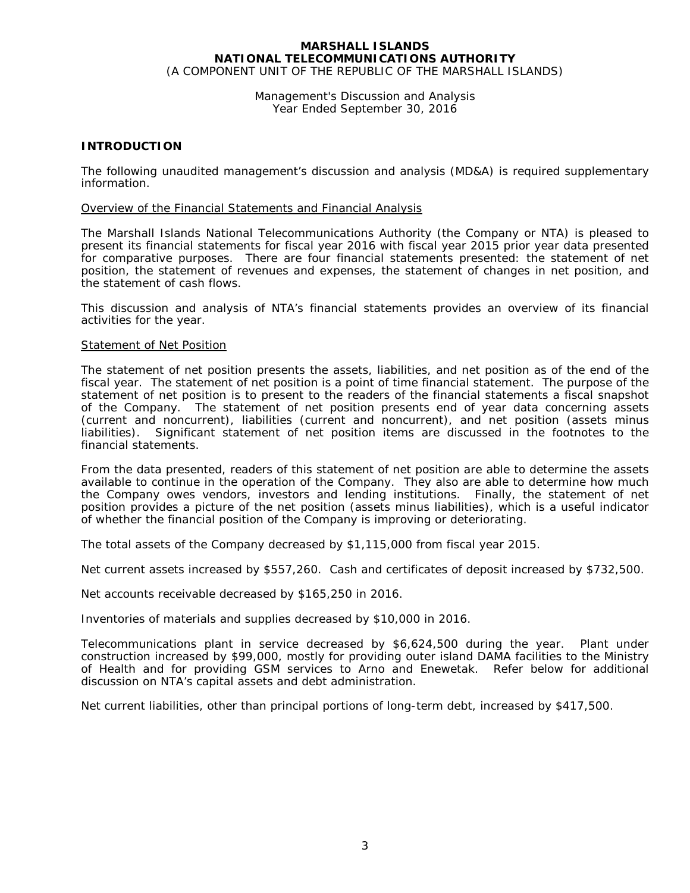Management's Discussion and Analysis Year Ended September 30, 2016

## **INTRODUCTION**

The following unaudited management's discussion and analysis (MD&A) is required supplementary information.

## Overview of the Financial Statements and Financial Analysis

The Marshall Islands National Telecommunications Authority (the Company or NTA) is pleased to present its financial statements for fiscal year 2016 with fiscal year 2015 prior year data presented for comparative purposes. There are four financial statements presented: the statement of net position, the statement of revenues and expenses, the statement of changes in net position, and the statement of cash flows.

This discussion and analysis of NTA's financial statements provides an overview of its financial activities for the year.

## Statement of Net Position

The statement of net position presents the assets, liabilities, and net position as of the end of the fiscal year. The statement of net position is a point of time financial statement. The purpose of the statement of net position is to present to the readers of the financial statements a fiscal snapshot of the Company. The statement of net position presents end of year data concerning assets (current and noncurrent), liabilities (current and noncurrent), and net position (assets minus liabilities). Significant statement of net position items are discussed in the footnotes to the financial statements.

From the data presented, readers of this statement of net position are able to determine the assets available to continue in the operation of the Company. They also are able to determine how much the Company owes vendors, investors and lending institutions. Finally, the statement of net position provides a picture of the net position (assets minus liabilities), which is a useful indicator of whether the financial position of the Company is improving or deteriorating.

The total assets of the Company decreased by \$1,115,000 from fiscal year 2015.

Net current assets increased by \$557,260. Cash and certificates of deposit increased by \$732,500.

Net accounts receivable decreased by \$165,250 in 2016.

Inventories of materials and supplies decreased by \$10,000 in 2016.

Telecommunications plant in service decreased by \$6,624,500 during the year. Plant under construction increased by \$99,000, mostly for providing outer island DAMA facilities to the Ministry of Health and for providing GSM services to Arno and Enewetak. Refer below for additional discussion on NTA's capital assets and debt administration.

Net current liabilities, other than principal portions of long-term debt, increased by \$417,500.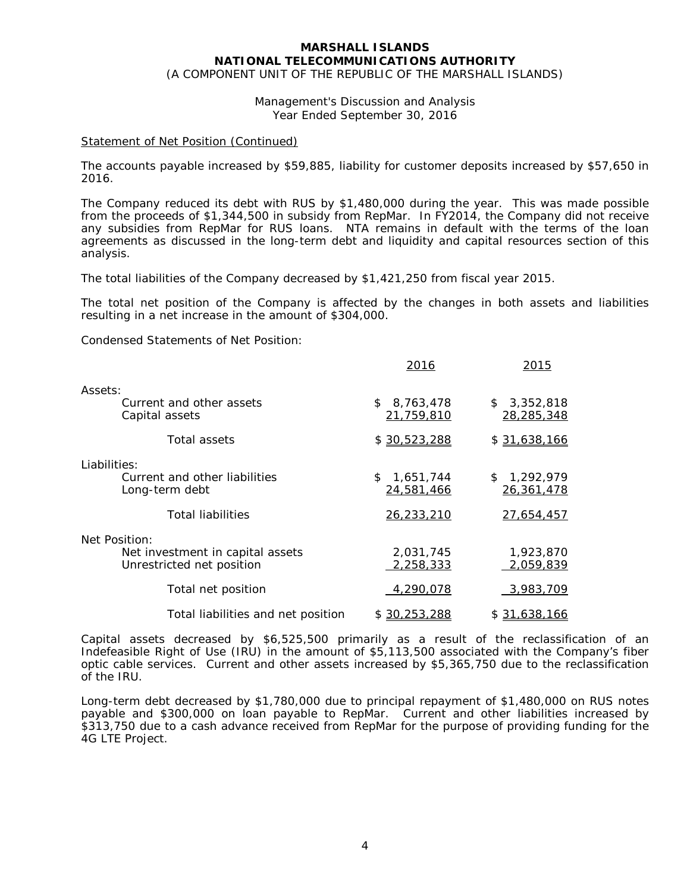Management's Discussion and Analysis Year Ended September 30, 2016

#### Statement of Net Position (Continued)

The accounts payable increased by \$59,885, liability for customer deposits increased by \$57,650 in 2016.

The Company reduced its debt with RUS by \$1,480,000 during the year. This was made possible from the proceeds of \$1,344,500 in subsidy from RepMar. In FY2014, the Company did not receive any subsidies from RepMar for RUS loans. NTA remains in default with the terms of the loan agreements as discussed in the long-term debt and liquidity and capital resources section of this analysis.

The total liabilities of the Company decreased by \$1,421,250 from fiscal year 2015.

The total net position of the Company is affected by the changes in both assets and liabilities resulting in a net increase in the amount of \$304,000.

Condensed Statements of Net Position:

|                                                               | 2016                      | <u> 2015 </u>             |
|---------------------------------------------------------------|---------------------------|---------------------------|
| Assets:                                                       |                           |                           |
| Current and other assets<br>Capital assets                    | \$8,763,478<br>21,759,810 | \$3,352,818<br>28,285,348 |
| Total assets                                                  | \$30,523,288              | \$31,638,166              |
| Liabilities:                                                  |                           |                           |
| Current and other liabilities<br>Long-term debt               | \$1,651,744<br>24,581,466 | \$1,292,979<br>26,361,478 |
| <b>Total liabilities</b>                                      | 26,233,210                | 27,654,457                |
| Net Position:                                                 |                           |                           |
| Net investment in capital assets<br>Unrestricted net position | 2,031,745<br>2,258,333    | 1,923,870<br>2,059,839    |
| Total net position                                            | 4,290,078                 | 3,983,709                 |
| Total liabilities and net position                            | \$30,253,288              | \$31,638,166              |

Capital assets decreased by \$6,525,500 primarily as a result of the reclassification of an Indefeasible Right of Use (IRU) in the amount of \$5,113,500 associated with the Company's fiber optic cable services. Current and other assets increased by \$5,365,750 due to the reclassification of the IRU.

Long-term debt decreased by \$1,780,000 due to principal repayment of \$1,480,000 on RUS notes payable and \$300,000 on loan payable to RepMar. Current and other liabilities increased by \$313,750 due to a cash advance received from RepMar for the purpose of providing funding for the 4G LTE Project.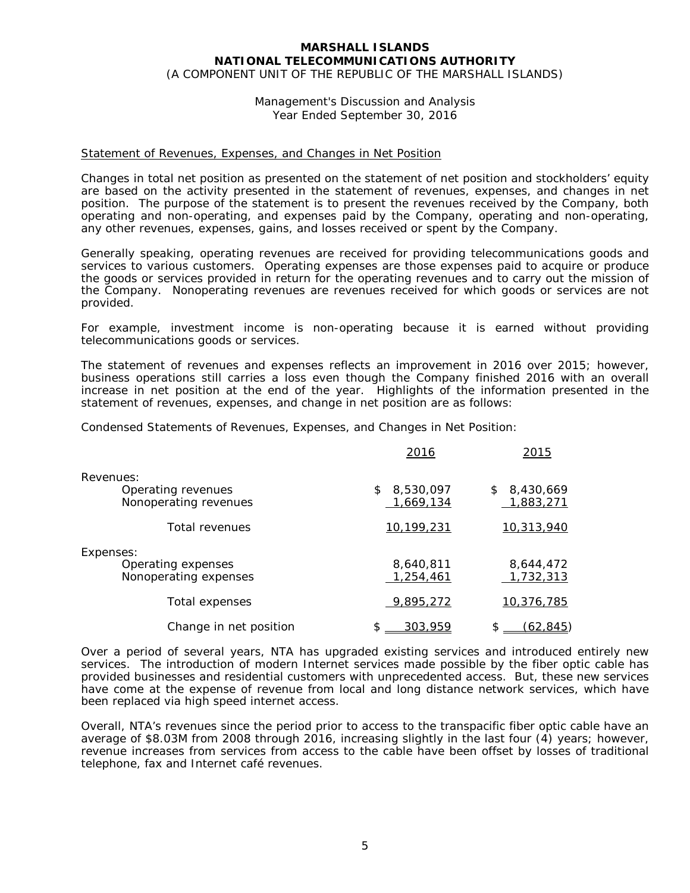# Management's Discussion and Analysis Year Ended September 30, 2016

## Statement of Revenues, Expenses, and Changes in Net Position

Changes in total net position as presented on the statement of net position and stockholders' equity are based on the activity presented in the statement of revenues, expenses, and changes in net position. The purpose of the statement is to present the revenues received by the Company, both operating and non-operating, and expenses paid by the Company, operating and non-operating, any other revenues, expenses, gains, and losses received or spent by the Company.

Generally speaking, operating revenues are received for providing telecommunications goods and services to various customers. Operating expenses are those expenses paid to acquire or produce the goods or services provided in return for the operating revenues and to carry out the mission of the Company. Nonoperating revenues are revenues received for which goods or services are not provided.

For example, investment income is non-operating because it is earned without providing telecommunications goods or services.

The statement of revenues and expenses reflects an improvement in 2016 over 2015; however, business operations still carries a loss even though the Company finished 2016 with an overall increase in net position at the end of the year. Highlights of the information presented in the statement of revenues, expenses, and change in net position are as follows:

Condensed Statements of Revenues, Expenses, and Changes in Net Position:

|                                                          | 2016                         | 2015                          |
|----------------------------------------------------------|------------------------------|-------------------------------|
| Revenues:<br>Operating revenues<br>Nonoperating revenues | 8,530,097<br>S.<br>1,669,134 | 8,430,669<br>\$<br>1,883,271  |
| Total revenues                                           | 10,199,231                   | 10,313,940                    |
| Expenses:<br>Operating expenses<br>Nonoperating expenses | 8,640,811<br>1,254,461       | 8,644,472<br><u>1,732,313</u> |
| Total expenses                                           | 9,895,272                    | 10,376,785                    |
| Change in net position                                   | 303,959                      | (62,845)                      |

Over a period of several years, NTA has upgraded existing services and introduced entirely new services. The introduction of modern Internet services made possible by the fiber optic cable has provided businesses and residential customers with unprecedented access. But, these new services have come at the expense of revenue from local and long distance network services, which have been replaced via high speed internet access.

Overall, NTA's revenues since the period prior to access to the transpacific fiber optic cable have an average of \$8.03M from 2008 through 2016, increasing slightly in the last four (4) years; however, revenue increases from services from access to the cable have been offset by losses of traditional telephone, fax and Internet café revenues.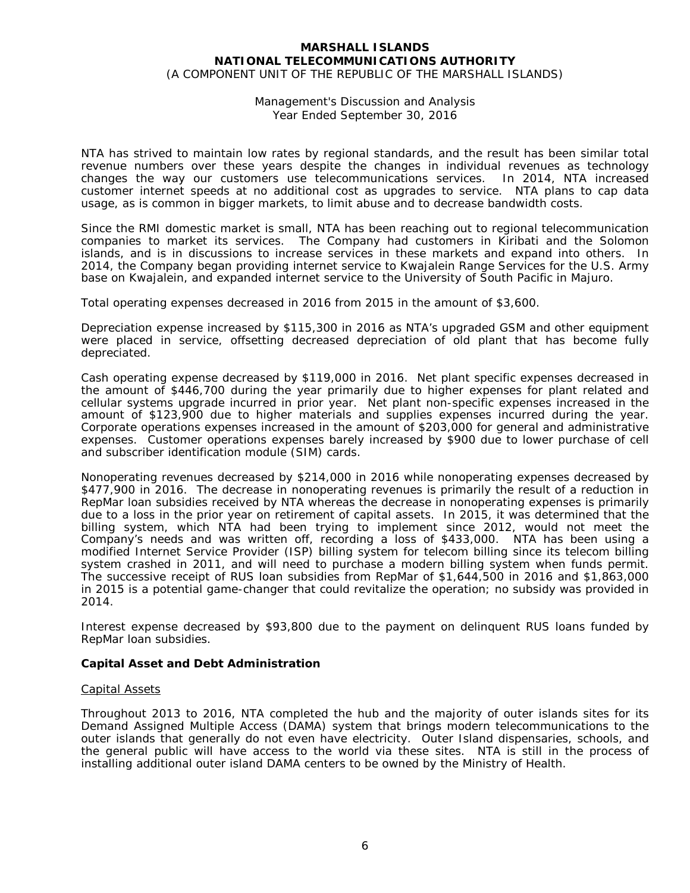# Management's Discussion and Analysis Year Ended September 30, 2016

NTA has strived to maintain low rates by regional standards, and the result has been similar total revenue numbers over these years despite the changes in individual revenues as technology changes the way our customers use telecommunications services. In 2014, NTA increased customer internet speeds at no additional cost as upgrades to service. NTA plans to cap data usage, as is common in bigger markets, to limit abuse and to decrease bandwidth costs.

Since the RMI domestic market is small, NTA has been reaching out to regional telecommunication companies to market its services. The Company had customers in Kiribati and the Solomon islands, and is in discussions to increase services in these markets and expand into others. In 2014, the Company began providing internet service to Kwajalein Range Services for the U.S. Army base on Kwajalein, and expanded internet service to the University of South Pacific in Majuro.

Total operating expenses decreased in 2016 from 2015 in the amount of \$3,600.

Depreciation expense increased by \$115,300 in 2016 as NTA's upgraded GSM and other equipment were placed in service, offsetting decreased depreciation of old plant that has become fully depreciated.

Cash operating expense decreased by \$119,000 in 2016. Net plant specific expenses decreased in the amount of \$446,700 during the year primarily due to higher expenses for plant related and cellular systems upgrade incurred in prior year. Net plant non-specific expenses increased in the amount of \$123,900 due to higher materials and supplies expenses incurred during the year. Corporate operations expenses increased in the amount of \$203,000 for general and administrative expenses. Customer operations expenses barely increased by \$900 due to lower purchase of cell and subscriber identification module (*SIM*) cards.

Nonoperating revenues decreased by \$214,000 in 2016 while nonoperating expenses decreased by \$477,900 in 2016. The decrease in nonoperating revenues is primarily the result of a reduction in RepMar loan subsidies received by NTA whereas the decrease in nonoperating expenses is primarily due to a loss in the prior year on retirement of capital assets. In 2015, it was determined that the billing system, which NTA had been trying to implement since 2012, would not meet the Company's needs and was written off, recording a loss of \$433,000. NTA has been using a modified Internet Service Provider (ISP) billing system for telecom billing since its telecom billing system crashed in 2011, and will need to purchase a modern billing system when funds permit. The successive receipt of RUS loan subsidies from RepMar of \$1,644,500 in 2016 and \$1,863,000 in 2015 is a potential game-changer that could revitalize the operation; no subsidy was provided in 2014.

Interest expense decreased by \$93,800 due to the payment on delinquent RUS loans funded by RepMar loan subsidies.

## **Capital Asset and Debt Administration**

## Capital Assets

Throughout 2013 to 2016, NTA completed the hub and the majority of outer islands sites for its Demand Assigned Multiple Access (DAMA) system that brings modern telecommunications to the outer islands that generally do not even have electricity. Outer Island dispensaries, schools, and the general public will have access to the world via these sites. NTA is still in the process of installing additional outer island DAMA centers to be owned by the Ministry of Health.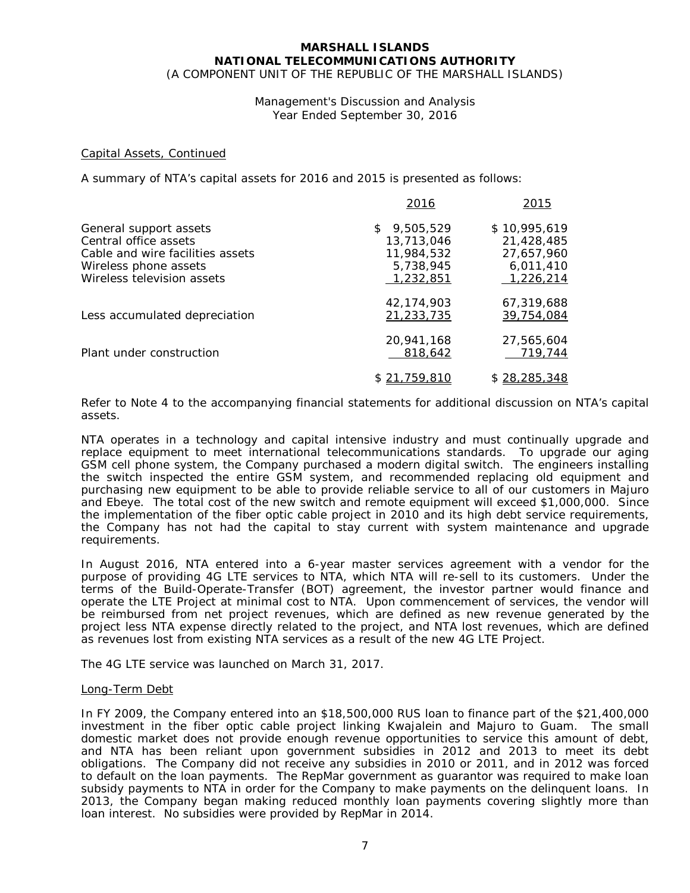Management's Discussion and Analysis Year Ended September 30, 2016

## Capital Assets, Continued

A summary of NTA's capital assets for 2016 and 2015 is presented as follows:

| 2016        | 2015         |
|-------------|--------------|
| \$9.505.529 | \$10,995,619 |
| 13,713,046  | 21,428,485   |
| 11,984,532  | 27.657.960   |
| 5,738,945   | 6,011,410    |
| 1,232,851   | 1,226,214    |
| 42.174.903  | 67,319,688   |
| 21,233,735  | 39,754,084   |
| 20.941.168  | 27,565,604   |
| 818,642     | 719.744      |
| 21,759,810  | \$28,285,348 |
|             |              |

Refer to Note 4 to the accompanying financial statements for additional discussion on NTA's capital assets.

NTA operates in a technology and capital intensive industry and must continually upgrade and replace equipment to meet international telecommunications standards. To upgrade our aging GSM cell phone system, the Company purchased a modern digital switch. The engineers installing the switch inspected the entire GSM system, and recommended replacing old equipment and purchasing new equipment to be able to provide reliable service to all of our customers in Majuro and Ebeye. The total cost of the new switch and remote equipment will exceed \$1,000,000. Since the implementation of the fiber optic cable project in 2010 and its high debt service requirements, the Company has not had the capital to stay current with system maintenance and upgrade requirements.

In August 2016, NTA entered into a 6-year master services agreement with a vendor for the purpose of providing 4G LTE services to NTA, which NTA will re-sell to its customers. Under the terms of the Build-Operate-Transfer (BOT) agreement, the investor partner would finance and operate the LTE Project at minimal cost to NTA. Upon commencement of services, the vendor will be reimbursed from net project revenues, which are defined as new revenue generated by the project less NTA expense directly related to the project, and NTA lost revenues, which are defined as revenues lost from existing NTA services as a result of the new 4G LTE Project.

The 4G LTE service was launched on March 31, 2017.

## Long-Term Debt

In FY 2009, the Company entered into an \$18,500,000 RUS loan to finance part of the \$21,400,000 investment in the fiber optic cable project linking Kwajalein and Majuro to Guam. The small domestic market does not provide enough revenue opportunities to service this amount of debt, and NTA has been reliant upon government subsidies in 2012 and 2013 to meet its debt obligations. The Company did not receive any subsidies in 2010 or 2011, and in 2012 was forced to default on the loan payments. The RepMar government as guarantor was required to make loan subsidy payments to NTA in order for the Company to make payments on the delinquent loans. In 2013, the Company began making reduced monthly loan payments covering slightly more than loan interest. No subsidies were provided by RepMar in 2014.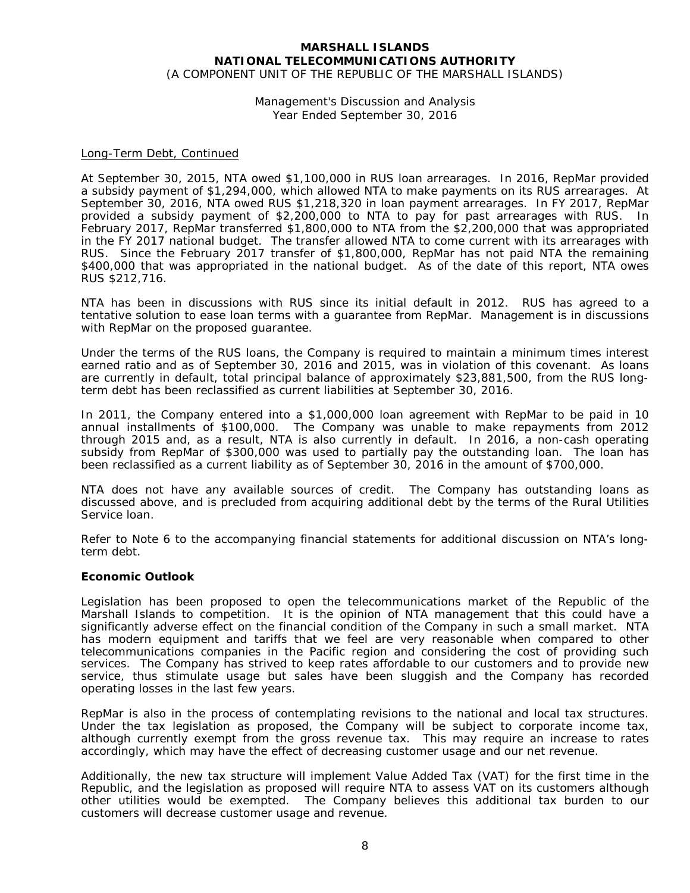Management's Discussion and Analysis Year Ended September 30, 2016

#### Long-Term Debt, Continued

At September 30, 2015, NTA owed \$1,100,000 in RUS loan arrearages. In 2016, RepMar provided a subsidy payment of \$1,294,000, which allowed NTA to make payments on its RUS arrearages. At September 30, 2016, NTA owed RUS \$1,218,320 in loan payment arrearages. In FY 2017, RepMar provided a subsidy payment of \$2,200,000 to NTA to pay for past arrearages with RUS. In February 2017, RepMar transferred \$1,800,000 to NTA from the \$2,200,000 that was appropriated in the FY 2017 national budget. The transfer allowed NTA to come current with its arrearages with RUS. Since the February 2017 transfer of \$1,800,000, RepMar has not paid NTA the remaining \$400,000 that was appropriated in the national budget. As of the date of this report, NTA owes RUS \$212,716.

NTA has been in discussions with RUS since its initial default in 2012. RUS has agreed to a tentative solution to ease loan terms with a guarantee from RepMar. Management is in discussions with RepMar on the proposed guarantee.

Under the terms of the RUS loans, the Company is required to maintain a minimum times interest earned ratio and as of September 30, 2016 and 2015, was in violation of this covenant. As loans are currently in default, total principal balance of approximately \$23,881,500, from the RUS longterm debt has been reclassified as current liabilities at September 30, 2016.

In 2011, the Company entered into a \$1,000,000 loan agreement with RepMar to be paid in 10 annual installments of \$100,000. The Company was unable to make repayments from 2012 through 2015 and, as a result, NTA is also currently in default. In 2016, a non-cash operating subsidy from RepMar of \$300,000 was used to partially pay the outstanding loan. The loan has been reclassified as a current liability as of September 30, 2016 in the amount of \$700,000.

NTA does not have any available sources of credit. The Company has outstanding loans as discussed above, and is precluded from acquiring additional debt by the terms of the Rural Utilities Service loan.

Refer to Note 6 to the accompanying financial statements for additional discussion on NTA's longterm debt.

## **Economic Outlook**

Legislation has been proposed to open the telecommunications market of the Republic of the Marshall Islands to competition. It is the opinion of NTA management that this could have a significantly adverse effect on the financial condition of the Company in such a small market. NTA has modern equipment and tariffs that we feel are very reasonable when compared to other telecommunications companies in the Pacific region and considering the cost of providing such services. The Company has strived to keep rates affordable to our customers and to provide new service, thus stimulate usage but sales have been sluggish and the Company has recorded operating losses in the last few years.

RepMar is also in the process of contemplating revisions to the national and local tax structures. Under the tax legislation as proposed, the Company will be subject to corporate income tax, although currently exempt from the gross revenue tax. This may require an increase to rates accordingly, which may have the effect of decreasing customer usage and our net revenue.

Additionally, the new tax structure will implement Value Added Tax (VAT) for the first time in the Republic, and the legislation as proposed will require NTA to assess VAT on its customers although other utilities would be exempted. The Company believes this additional tax burden to our customers will decrease customer usage and revenue.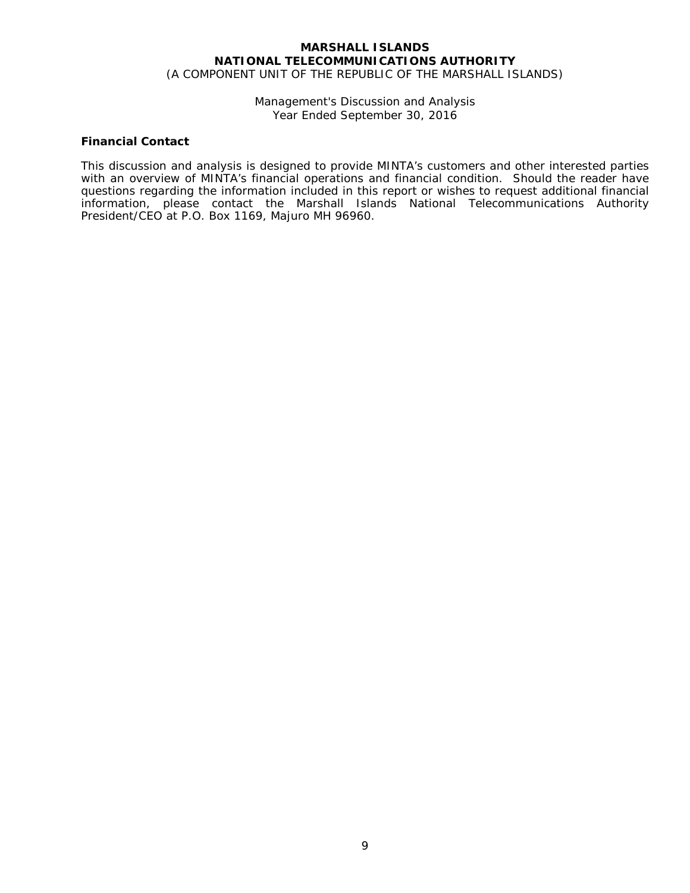Management's Discussion and Analysis Year Ended September 30, 2016

# **Financial Contact**

This discussion and analysis is designed to provide MINTA's customers and other interested parties with an overview of MINTA's financial operations and financial condition. Should the reader have questions regarding the information included in this report or wishes to request additional financial information, please contact the Marshall Islands National Telecommunications Authority President/CEO at P.O. Box 1169, Majuro MH 96960.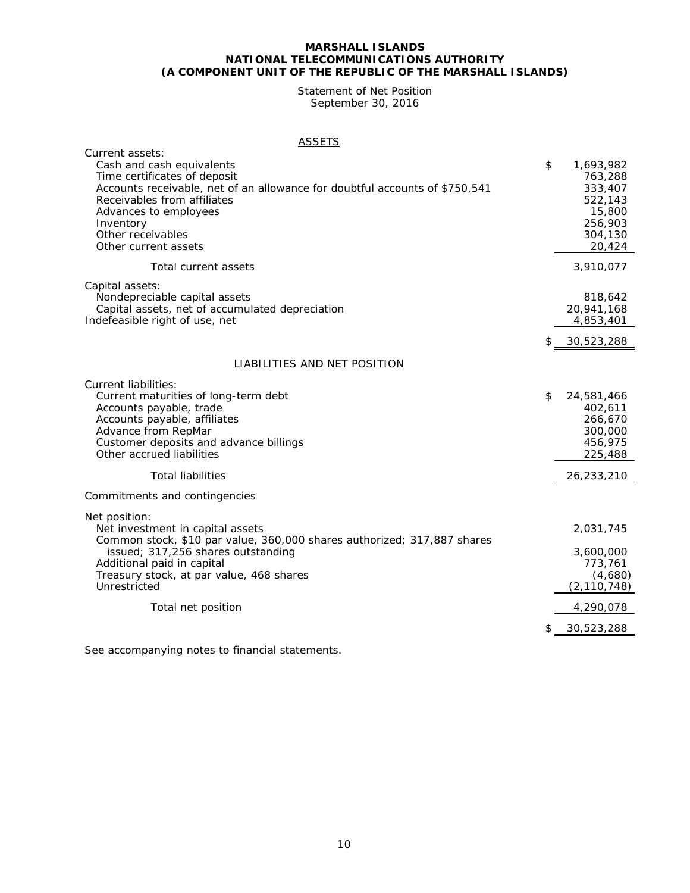Statement of Net Position September 30, 2016

## **ASSETS**

| <u> AJJLIJ</u>                                                                                                                                                                                                                                                                |                                                                                            |
|-------------------------------------------------------------------------------------------------------------------------------------------------------------------------------------------------------------------------------------------------------------------------------|--------------------------------------------------------------------------------------------|
| Current assets:<br>Cash and cash equivalents<br>Time certificates of deposit<br>Accounts receivable, net of an allowance for doubtful accounts of \$750,541<br>Receivables from affiliates<br>Advances to employees<br>Inventory<br>Other receivables<br>Other current assets | \$<br>1,693,982<br>763,288<br>333,407<br>522,143<br>15,800<br>256,903<br>304,130<br>20,424 |
| Total current assets                                                                                                                                                                                                                                                          | 3,910,077                                                                                  |
| Capital assets:<br>Nondepreciable capital assets<br>Capital assets, net of accumulated depreciation<br>Indefeasible right of use, net                                                                                                                                         | 818,642<br>20,941,168<br>4,853,401                                                         |
|                                                                                                                                                                                                                                                                               | 30,523,288                                                                                 |
| <b>LIABILITIES AND NET POSITION</b>                                                                                                                                                                                                                                           |                                                                                            |
| Current liabilities:<br>Current maturities of long-term debt<br>Accounts payable, trade<br>Accounts payable, affiliates<br>Advance from RepMar<br>Customer deposits and advance billings<br>Other accrued liabilities                                                         | \$<br>24,581,466<br>402,611<br>266,670<br>300,000<br>456,975<br>225,488                    |
| <b>Total liabilities</b>                                                                                                                                                                                                                                                      | 26,233,210                                                                                 |
| Commitments and contingencies                                                                                                                                                                                                                                                 |                                                                                            |
| Net position:<br>Net investment in capital assets<br>Common stock, \$10 par value, 360,000 shares authorized; 317,887 shares<br>issued; 317,256 shares outstanding                                                                                                            | 2,031,745                                                                                  |
| Additional paid in capital<br>Treasury stock, at par value, 468 shares<br>Unrestricted                                                                                                                                                                                        | 3,600,000<br>773,761<br>(4,680)<br>(2, 110, 748)                                           |
| Total net position                                                                                                                                                                                                                                                            | 4,290,078                                                                                  |
|                                                                                                                                                                                                                                                                               | 30,523,288                                                                                 |
|                                                                                                                                                                                                                                                                               |                                                                                            |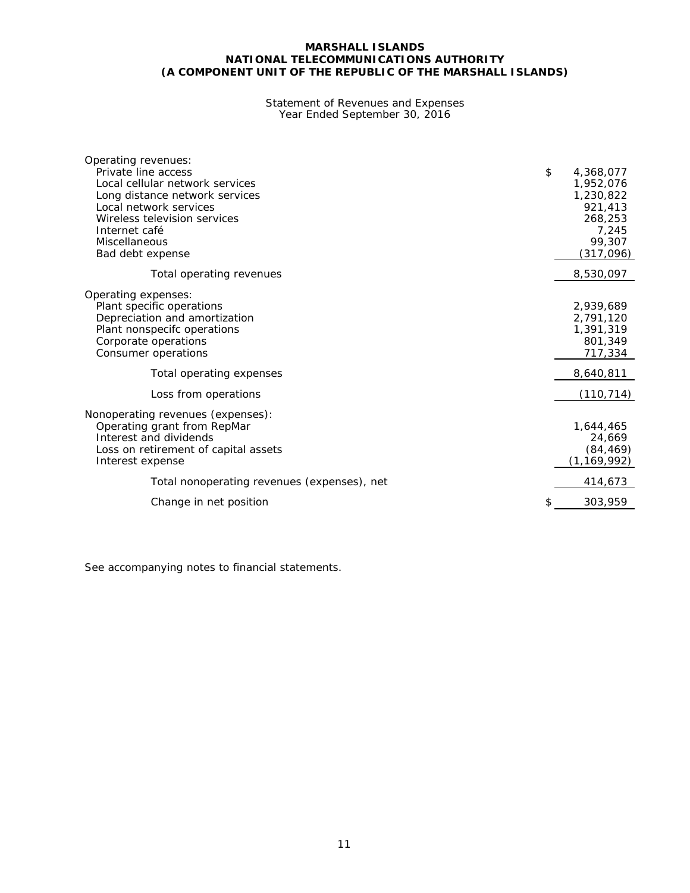Year Ended September 30, 2016 Statement of Revenues and Expenses

| Operating revenues:                         |                 |
|---------------------------------------------|-----------------|
| Private line access                         | \$<br>4,368,077 |
| Local cellular network services             | 1,952,076       |
| Long distance network services              | 1,230,822       |
| Local network services                      | 921,413         |
| Wireless television services                | 268,253         |
| Internet café                               | 7,245           |
| <b>Miscellaneous</b>                        | 99,307          |
| Bad debt expense                            | (317, 096)      |
| Total operating revenues                    | 8,530,097       |
| Operating expenses:                         |                 |
| Plant specific operations                   | 2,939,689       |
| Depreciation and amortization               | 2,791,120       |
| Plant nonspecifc operations                 | 1,391,319       |
| Corporate operations                        | 801,349         |
| Consumer operations                         | 717,334         |
| Total operating expenses                    | 8,640,811       |
| Loss from operations                        | (110, 714)      |
| Nonoperating revenues (expenses):           |                 |
| Operating grant from RepMar                 | 1,644,465       |
| Interest and dividends                      | 24,669          |
| Loss on retirement of capital assets        | (84, 469)       |
| Interest expense                            | (1, 169, 992)   |
| Total nonoperating revenues (expenses), net | 414,673         |
| Change in net position                      | 303,959         |
|                                             |                 |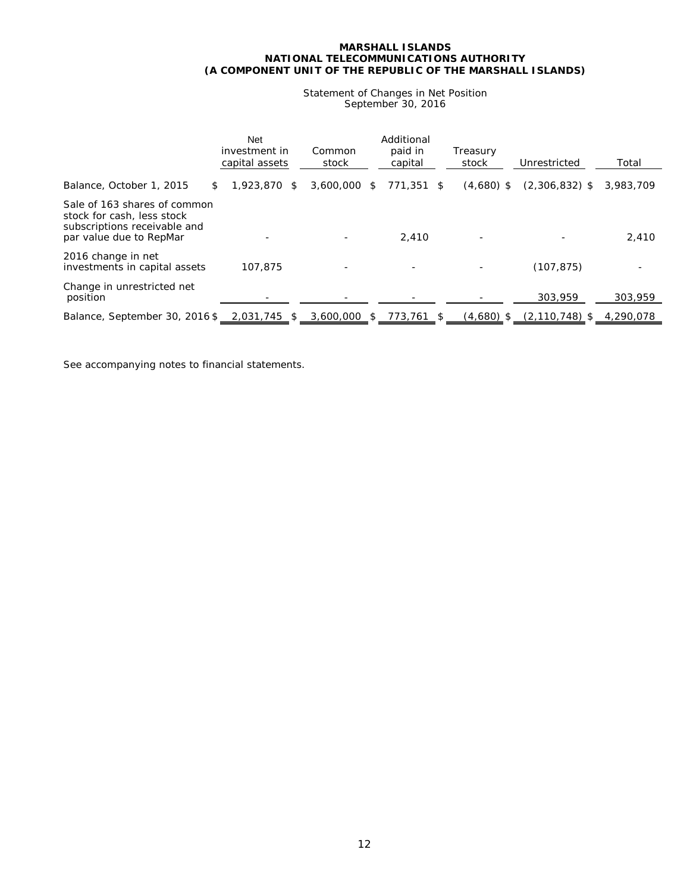#### Statement of Changes in Net Position September 30, 2016

|                                                                                                                       | <b>Net</b><br>investment in<br>capital assets | Common<br>stock | Additional<br>paid in<br>capital | Treasury<br>stock | Unrestricted       | Total     |
|-----------------------------------------------------------------------------------------------------------------------|-----------------------------------------------|-----------------|----------------------------------|-------------------|--------------------|-----------|
| Balance, October 1, 2015<br>S.                                                                                        | $1.923.870$ \$                                | $3.600.000$ \$  | 771,351 \$                       | $(4,680)$ \$      | $(2,306,832)$ \$   | 3,983,709 |
| Sale of 163 shares of common<br>stock for cash, less stock<br>subscriptions receivable and<br>par value due to RepMar |                                               |                 | 2.410                            |                   |                    | 2,410     |
| 2016 change in net<br>investments in capital assets                                                                   | 107.875                                       |                 |                                  |                   | (107, 875)         |           |
| Change in unrestricted net<br>position                                                                                |                                               |                 |                                  |                   | 303,959            | 303,959   |
| Balance, September 30, 2016\$                                                                                         | 2,031,745 \$                                  | $3,600,000$ \$  | 773,761 \$                       | (4,680) \$        | $(2, 110, 748)$ \$ | 4,290,078 |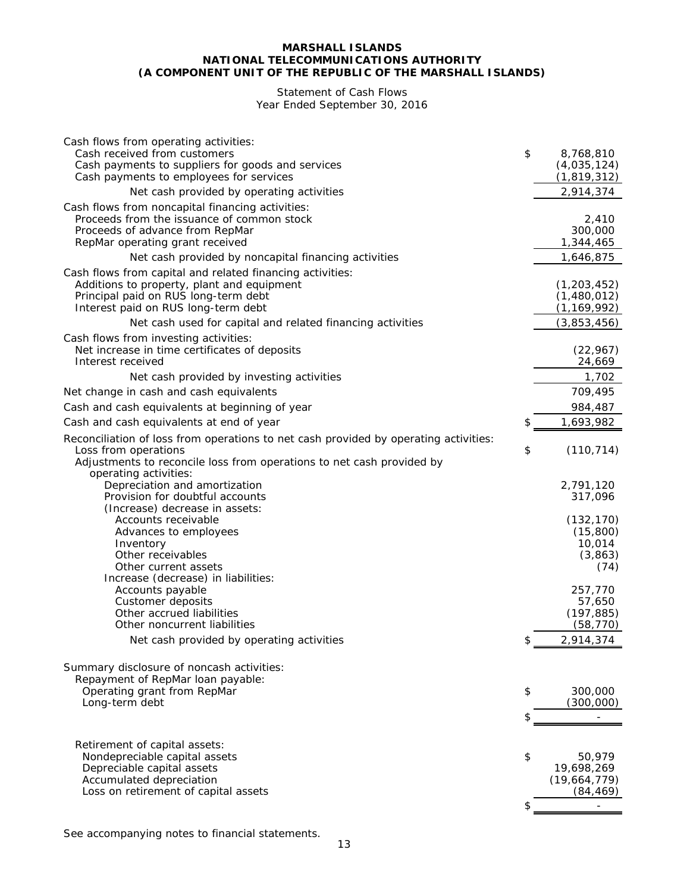Statement of Cash Flows Year Ended September 30, 2016

| Cash flows from operating activities:<br>Cash received from customers<br>Cash payments to suppliers for goods and services                                                                                     | \$       | 8,768,810<br>(4,035,124)                            |
|----------------------------------------------------------------------------------------------------------------------------------------------------------------------------------------------------------------|----------|-----------------------------------------------------|
| Cash payments to employees for services<br>Net cash provided by operating activities                                                                                                                           |          | (1, 819, 312)<br>2,914,374                          |
| Cash flows from noncapital financing activities:<br>Proceeds from the issuance of common stock<br>Proceeds of advance from RepMar<br>RepMar operating grant received                                           |          | 2,410<br>300,000<br>1,344,465                       |
| Net cash provided by noncapital financing activities                                                                                                                                                           |          | 1,646,875                                           |
| Cash flows from capital and related financing activities:<br>Additions to property, plant and equipment<br>Principal paid on RUS long-term debt<br>Interest paid on RUS long-term debt                         |          | (1, 203, 452)<br>(1,480,012)<br>(1, 169, 992)       |
| Net cash used for capital and related financing activities                                                                                                                                                     |          | (3,853,456)                                         |
| Cash flows from investing activities:<br>Net increase in time certificates of deposits<br>Interest received                                                                                                    |          | (22, 967)<br>24,669                                 |
| Net cash provided by investing activities                                                                                                                                                                      |          | 1,702                                               |
| Net change in cash and cash equivalents                                                                                                                                                                        |          | 709,495                                             |
| Cash and cash equivalents at beginning of year                                                                                                                                                                 |          | 984,487                                             |
| Cash and cash equivalents at end of year                                                                                                                                                                       | \$       | 1,693,982                                           |
| Reconciliation of loss from operations to net cash provided by operating activities:<br>Loss from operations<br>Adjustments to reconcile loss from operations to net cash provided by<br>operating activities: | \$       | (110, 714)                                          |
| Depreciation and amortization<br>Provision for doubtful accounts<br>(Increase) decrease in assets:                                                                                                             |          | 2,791,120<br>317,096                                |
| Accounts receivable<br>Advances to employees<br>Inventory<br>Other receivables<br>Other current assets                                                                                                         |          | (132, 170)<br>(15,800)<br>10,014<br>(3,863)<br>(74) |
| Increase (decrease) in liabilities:<br>Accounts payable<br>Customer deposits<br>Other accrued liabilities<br>Other noncurrent liabilities                                                                      |          | 257,770<br>57,650<br>(197, 885)<br>(58, 770)        |
| Net cash provided by operating activities                                                                                                                                                                      |          | 2,914,374                                           |
| Summary disclosure of noncash activities:<br>Repayment of RepMar loan payable:                                                                                                                                 |          |                                                     |
| Operating grant from RepMar<br>Long-term debt                                                                                                                                                                  | \$<br>\$ | 300,000<br>(300,000)                                |
| Retirement of capital assets:<br>Nondepreciable capital assets<br>Depreciable capital assets<br>Accumulated depreciation<br>Loss on retirement of capital assets                                               | \$<br>\$ | 50,979<br>19,698,269<br>(19,664,779)<br>(84, 469)   |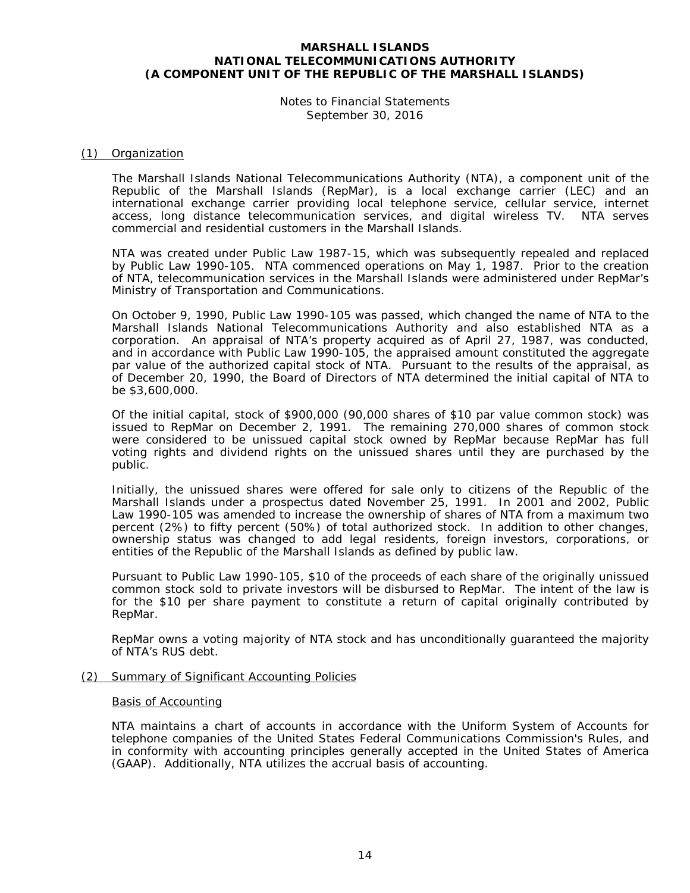Notes to Financial Statements September 30, 2016

#### (1) Organization

The Marshall Islands National Telecommunications Authority (NTA), a component unit of the Republic of the Marshall Islands (RepMar), is a local exchange carrier (LEC) and an international exchange carrier providing local telephone service, cellular service, internet access, long distance telecommunication services, and digital wireless TV. NTA serves commercial and residential customers in the Marshall Islands.

NTA was created under Public Law 1987-15, which was subsequently repealed and replaced by Public Law 1990-105. NTA commenced operations on May 1, 1987. Prior to the creation of NTA, telecommunication services in the Marshall Islands were administered under RepMar's Ministry of Transportation and Communications.

On October 9, 1990, Public Law 1990-105 was passed, which changed the name of NTA to the Marshall Islands National Telecommunications Authority and also established NTA as a corporation. An appraisal of NTA's property acquired as of April 27, 1987, was conducted, and in accordance with Public Law 1990-105, the appraised amount constituted the aggregate par value of the authorized capital stock of NTA. Pursuant to the results of the appraisal, as of December 20, 1990, the Board of Directors of NTA determined the initial capital of NTA to be \$3,600,000.

Of the initial capital, stock of \$900,000 (90,000 shares of \$10 par value common stock) was issued to RepMar on December 2, 1991. The remaining 270,000 shares of common stock were considered to be unissued capital stock owned by RepMar because RepMar has full voting rights and dividend rights on the unissued shares until they are purchased by the public.

Initially, the unissued shares were offered for sale only to citizens of the Republic of the Marshall Islands under a prospectus dated November 25, 1991. In 2001 and 2002, Public Law 1990-105 was amended to increase the ownership of shares of NTA from a maximum two percent (2%) to fifty percent (50%) of total authorized stock. In addition to other changes, ownership status was changed to add legal residents, foreign investors, corporations, or entities of the Republic of the Marshall Islands as defined by public law.

Pursuant to Public Law 1990-105, \$10 of the proceeds of each share of the originally unissued common stock sold to private investors will be disbursed to RepMar. The intent of the law is for the \$10 per share payment to constitute a return of capital originally contributed by RepMar.

RepMar owns a voting majority of NTA stock and has unconditionally guaranteed the majority of NTA's RUS debt.

#### (2) Summary of Significant Accounting Policies

#### Basis of Accounting

NTA maintains a chart of accounts in accordance with the Uniform System of Accounts for telephone companies of the United States Federal Communications Commission's Rules, and in conformity with accounting principles generally accepted in the United States of America (GAAP). Additionally, NTA utilizes the accrual basis of accounting.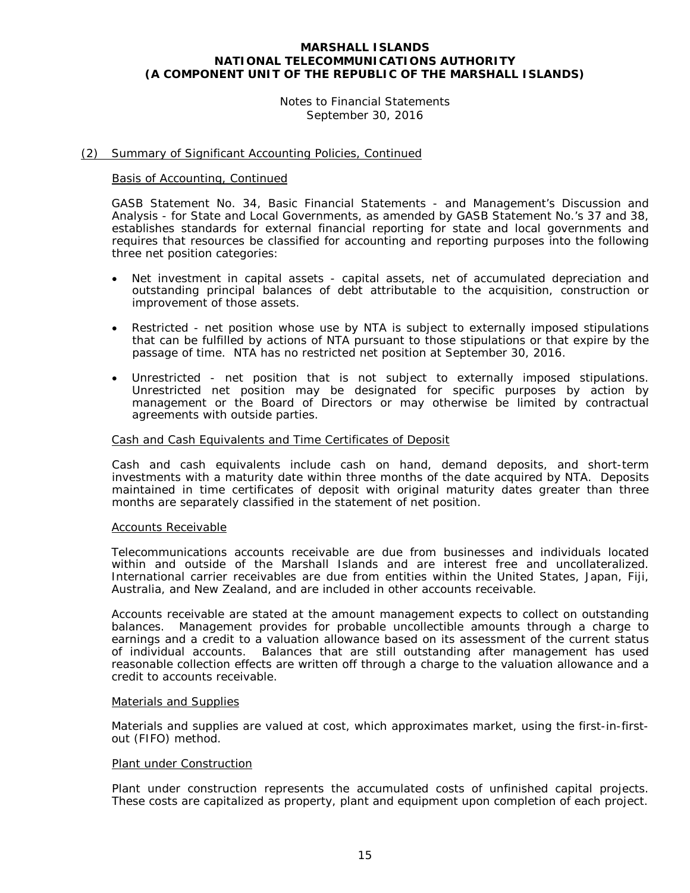Notes to Financial Statements September 30, 2016

## (2) Summary of Significant Accounting Policies, Continued

## Basis of Accounting, Continued

GASB Statement No. 34, *Basic Financial Statements - and Management's Discussion and Analysis - for State and Local Governments*, as amended by GASB Statement No.'s 37 and 38, establishes standards for external financial reporting for state and local governments and requires that resources be classified for accounting and reporting purposes into the following three net position categories:

- Net investment in capital assets capital assets, net of accumulated depreciation and outstanding principal balances of debt attributable to the acquisition, construction or improvement of those assets.
- Restricted net position whose use by NTA is subject to externally imposed stipulations that can be fulfilled by actions of NTA pursuant to those stipulations or that expire by the passage of time. NTA has no restricted net position at September 30, 2016.
- Unrestricted net position that is not subject to externally imposed stipulations. Unrestricted net position may be designated for specific purposes by action by management or the Board of Directors or may otherwise be limited by contractual agreements with outside parties.

# Cash and Cash Equivalents and Time Certificates of Deposit

Cash and cash equivalents include cash on hand, demand deposits, and short-term investments with a maturity date within three months of the date acquired by NTA. Deposits maintained in time certificates of deposit with original maturity dates greater than three months are separately classified in the statement of net position.

#### Accounts Receivable

Telecommunications accounts receivable are due from businesses and individuals located within and outside of the Marshall Islands and are interest free and uncollateralized. International carrier receivables are due from entities within the United States, Japan, Fiji, Australia, and New Zealand, and are included in other accounts receivable.

Accounts receivable are stated at the amount management expects to collect on outstanding balances. Management provides for probable uncollectible amounts through a charge to earnings and a credit to a valuation allowance based on its assessment of the current status of individual accounts. Balances that are still outstanding after management has used reasonable collection effects are written off through a charge to the valuation allowance and a credit to accounts receivable.

#### Materials and Supplies

Materials and supplies are valued at cost, which approximates market, using the first-in-firstout (FIFO) method.

#### Plant under Construction

Plant under construction represents the accumulated costs of unfinished capital projects. These costs are capitalized as property, plant and equipment upon completion of each project.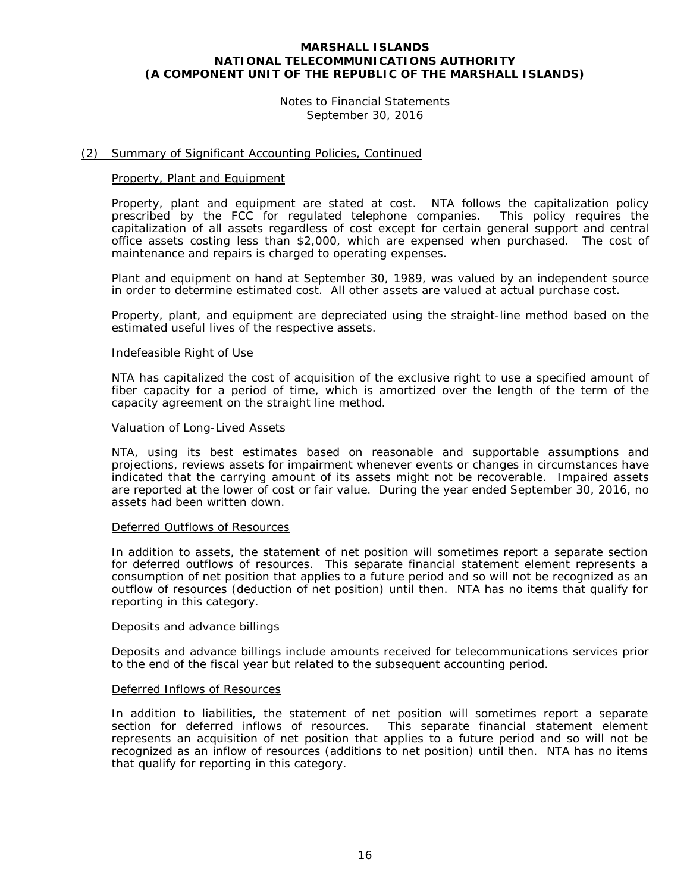Notes to Financial Statements September 30, 2016

## (2) Summary of Significant Accounting Policies, Continued

## Property, Plant and Equipment

Property, plant and equipment are stated at cost. NTA follows the capitalization policy<br>prescribed by the FCC for regulated telephone companies. This policy requires the prescribed by the FCC for regulated telephone companies. capitalization of all assets regardless of cost except for certain general support and central office assets costing less than \$2,000, which are expensed when purchased. The cost of maintenance and repairs is charged to operating expenses.

Plant and equipment on hand at September 30, 1989, was valued by an independent source in order to determine estimated cost. All other assets are valued at actual purchase cost.

Property, plant, and equipment are depreciated using the straight-line method based on the estimated useful lives of the respective assets.

## Indefeasible Right of Use

NTA has capitalized the cost of acquisition of the exclusive right to use a specified amount of fiber capacity for a period of time, which is amortized over the length of the term of the capacity agreement on the straight line method.

#### Valuation of Long-Lived Assets

NTA, using its best estimates based on reasonable and supportable assumptions and projections, reviews assets for impairment whenever events or changes in circumstances have indicated that the carrying amount of its assets might not be recoverable. Impaired assets are reported at the lower of cost or fair value. During the year ended September 30, 2016, no assets had been written down.

#### Deferred Outflows of Resources

In addition to assets, the statement of net position will sometimes report a separate section for deferred outflows of resources. This separate financial statement element represents a consumption of net position that applies to a future period and so will not be recognized as an outflow of resources (deduction of net position) until then. NTA has no items that qualify for reporting in this category.

#### Deposits and advance billings

Deposits and advance billings include amounts received for telecommunications services prior to the end of the fiscal year but related to the subsequent accounting period.

#### Deferred Inflows of Resources

In addition to liabilities, the statement of net position will sometimes report a separate section for deferred inflows of resources. This separate financial statement element represents an acquisition of net position that applies to a future period and so will not be recognized as an inflow of resources (additions to net position) until then. NTA has no items that qualify for reporting in this category.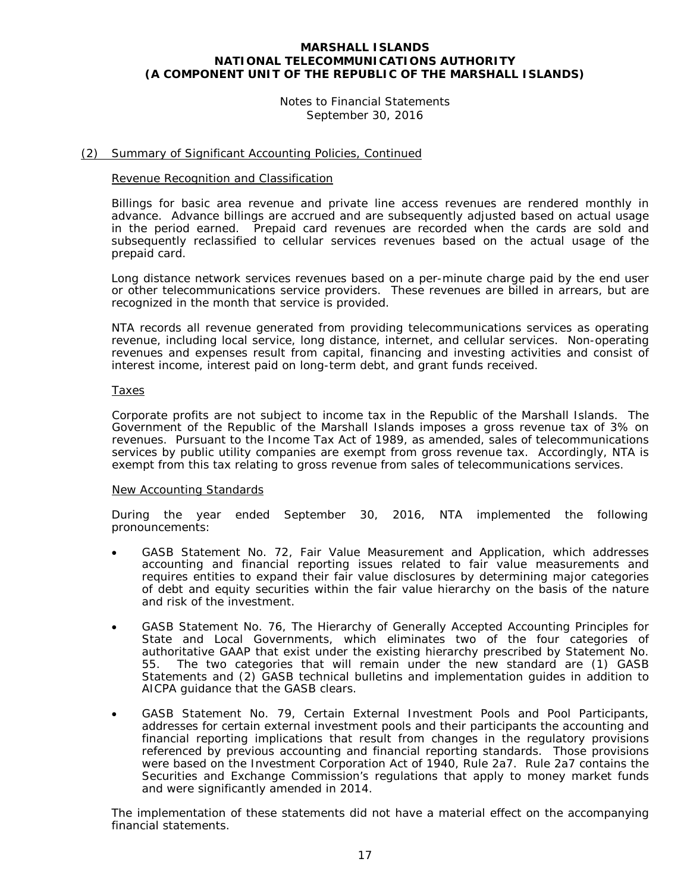Notes to Financial Statements September 30, 2016

## (2) Summary of Significant Accounting Policies, Continued

#### Revenue Recognition and Classification

Billings for basic area revenue and private line access revenues are rendered monthly in advance. Advance billings are accrued and are subsequently adjusted based on actual usage in the period earned. Prepaid card revenues are recorded when the cards are sold and subsequently reclassified to cellular services revenues based on the actual usage of the prepaid card.

Long distance network services revenues based on a per-minute charge paid by the end user or other telecommunications service providers. These revenues are billed in arrears, but are recognized in the month that service is provided.

NTA records all revenue generated from providing telecommunications services as operating revenue, including local service, long distance, internet, and cellular services. Non-operating revenues and expenses result from capital, financing and investing activities and consist of interest income, interest paid on long-term debt, and grant funds received.

## Taxes

Corporate profits are not subject to income tax in the Republic of the Marshall Islands. The Government of the Republic of the Marshall Islands imposes a gross revenue tax of 3% on revenues. Pursuant to the Income Tax Act of 1989, as amended, sales of telecommunications services by public utility companies are exempt from gross revenue tax. Accordingly, NTA is exempt from this tax relating to gross revenue from sales of telecommunications services.

## New Accounting Standards

During the year ended September 30, 2016, NTA implemented the following pronouncements:

- GASB Statement No. 72, *Fair Value Measurement and Application,* which addresses accounting and financial reporting issues related to fair value measurements and requires entities to expand their fair value disclosures by determining major categories of debt and equity securities within the fair value hierarchy on the basis of the nature and risk of the investment.
- GASB Statement No. 76, *The Hierarchy of Generally Accepted Accounting Principles for State and Local Governments*, which eliminates two of the four categories of authoritative GAAP that exist under the existing hierarchy prescribed by Statement No. 55. The two categories that will remain under the new standard are (1) GASB Statements and (2) GASB technical bulletins and implementation guides in addition to AICPA guidance that the GASB clears.
- GASB Statement No. 79, *Certain External Investment Pools and Pool Participants*, addresses for certain external investment pools and their participants the accounting and financial reporting implications that result from changes in the regulatory provisions referenced by previous accounting and financial reporting standards. Those provisions were based on the Investment Corporation Act of 1940, Rule 2a7. Rule 2a7 contains the Securities and Exchange Commission's regulations that apply to money market funds and were significantly amended in 2014.

The implementation of these statements did not have a material effect on the accompanying financial statements.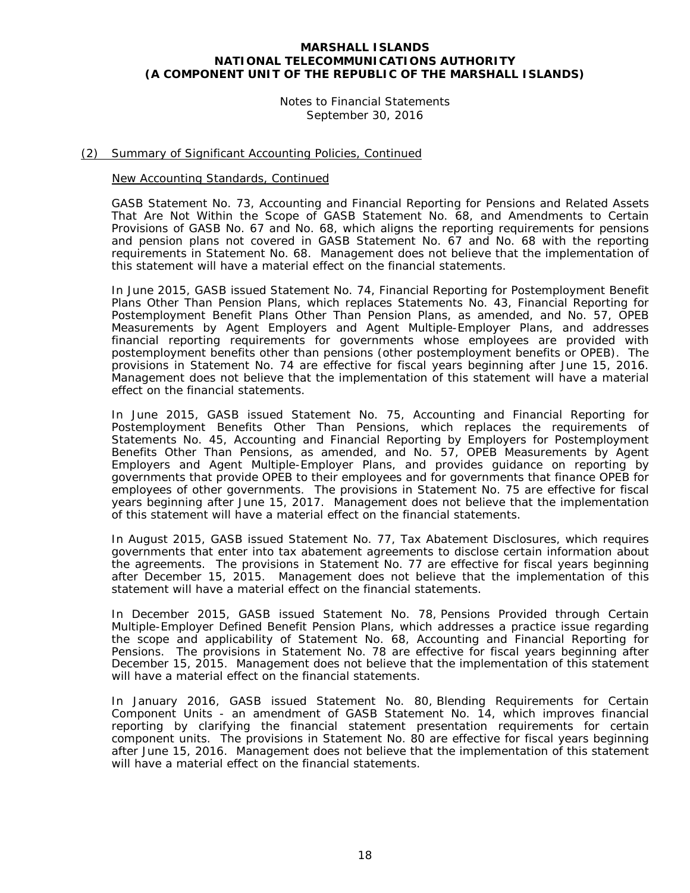Notes to Financial Statements September 30, 2016

## (2) Summary of Significant Accounting Policies, Continued

#### New Accounting Standards, Continued

GASB Statement No. 73*, Accounting and Financial Reporting for Pensions and Related Assets That Are Not Within the Scope of GASB Statement No. 68, and Amendments to Certain Provisions of GASB No. 67 and No. 68*, which aligns the reporting requirements for pensions and pension plans not covered in GASB Statement No. 67 and No. 68 with the reporting requirements in Statement No. 68. Management does not believe that the implementation of this statement will have a material effect on the financial statements.

In June 2015, GASB issued Statement No. 74, *Financial Reporting for Postemployment Benefit Plans Other Than Pension Plans*, which replaces Statements No. 43, *Financial Reporting for Postemployment Benefit Plans Other Than Pension Plans*, as amended, and No. 57, *OPEB Measurements by Agent Employers and Agent Multiple-Employer Plans*, and addresses financial reporting requirements for governments whose employees are provided with postemployment benefits other than pensions (other postemployment benefits or OPEB). The provisions in Statement No. 74 are effective for fiscal years beginning after June 15, 2016. Management does not believe that the implementation of this statement will have a material effect on the financial statements.

In June 2015, GASB issued Statement No. 75, *Accounting and Financial Reporting for Postemployment Benefits Other Than Pensions*, which replaces the requirements of Statements No. 45, *Accounting and Financial Reporting by Employers for Postemployment Benefits Other Than Pensions*, as amended, and No. 57, *OPEB Measurements by Agent Employers and Agent Multiple-Employer Plans*, and provides guidance on reporting by governments that provide OPEB to their employees and for governments that finance OPEB for employees of other governments. The provisions in Statement No. 75 are effective for fiscal years beginning after June 15, 2017. Management does not believe that the implementation of this statement will have a material effect on the financial statements.

In August 2015, GASB issued Statement No. 77, *Tax Abatement Disclosures*, which requires governments that enter into tax abatement agreements to disclose certain information about the agreements. The provisions in Statement No. 77 are effective for fiscal years beginning after December 15, 2015. Management does not believe that the implementation of this statement will have a material effect on the financial statements.

In December 2015, GASB issued Statement No. 78, *Pensions Provided through Certain Multiple-Employer Defined Benefit Pension Plans,* which addresses a practice issue regarding the scope and applicability of Statement No. 68, *Accounting and Financial Reporting for Pensions*. The provisions in Statement No. 78 are effective for fiscal years beginning after December 15, 2015. Management does not believe that the implementation of this statement will have a material effect on the financial statements.

In January 2016, GASB issued Statement No. 80, *Blending Requirements for Certain Component Units - an amendment of GASB Statement No. 14,* which improves financial reporting by clarifying the financial statement presentation requirements for certain component units. The provisions in Statement No. 80 are effective for fiscal years beginning after June 15, 2016. Management does not believe that the implementation of this statement will have a material effect on the financial statements.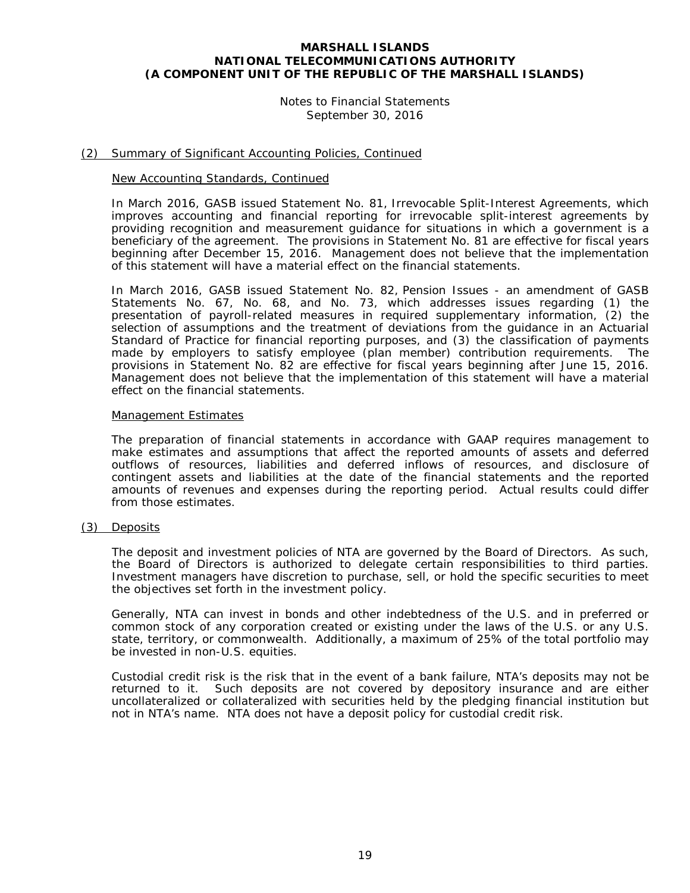Notes to Financial Statements September 30, 2016

## (2) Summary of Significant Accounting Policies, Continued

#### New Accounting Standards, Continued

In March 2016, GASB issued Statement No. 81, *Irrevocable Split-Interest Agreements,* which improves accounting and financial reporting for irrevocable split-interest agreements by providing recognition and measurement guidance for situations in which a government is a beneficiary of the agreement. The provisions in Statement No. 81 are effective for fiscal years beginning after December 15, 2016. Management does not believe that the implementation of this statement will have a material effect on the financial statements.

In March 2016, GASB issued Statement No. 82, *Pension Issues - an amendment of GASB Statements No. 67, No. 68, and No. 73,* which addresses issues regarding (1) the presentation of payroll-related measures in required supplementary information, (2) the selection of assumptions and the treatment of deviations from the guidance in an Actuarial Standard of Practice for financial reporting purposes, and (3) the classification of payments made by employers to satisfy employee (plan member) contribution requirements. The provisions in Statement No. 82 are effective for fiscal years beginning after June 15, 2016. Management does not believe that the implementation of this statement will have a material effect on the financial statements.

#### Management Estimates

The preparation of financial statements in accordance with GAAP requires management to make estimates and assumptions that affect the reported amounts of assets and deferred outflows of resources, liabilities and deferred inflows of resources, and disclosure of contingent assets and liabilities at the date of the financial statements and the reported amounts of revenues and expenses during the reporting period. Actual results could differ from those estimates.

## (3) Deposits

The deposit and investment policies of NTA are governed by the Board of Directors. As such, the Board of Directors is authorized to delegate certain responsibilities to third parties. Investment managers have discretion to purchase, sell, or hold the specific securities to meet the objectives set forth in the investment policy.

Generally, NTA can invest in bonds and other indebtedness of the U.S. and in preferred or common stock of any corporation created or existing under the laws of the U.S. or any U.S. state, territory, or commonwealth. Additionally, a maximum of 25% of the total portfolio may be invested in non-U.S. equities.

Custodial credit risk is the risk that in the event of a bank failure, NTA's deposits may not be returned to it. Such deposits are not covered by depository insurance and are either uncollateralized or collateralized with securities held by the pledging financial institution but not in NTA's name. NTA does not have a deposit policy for custodial credit risk.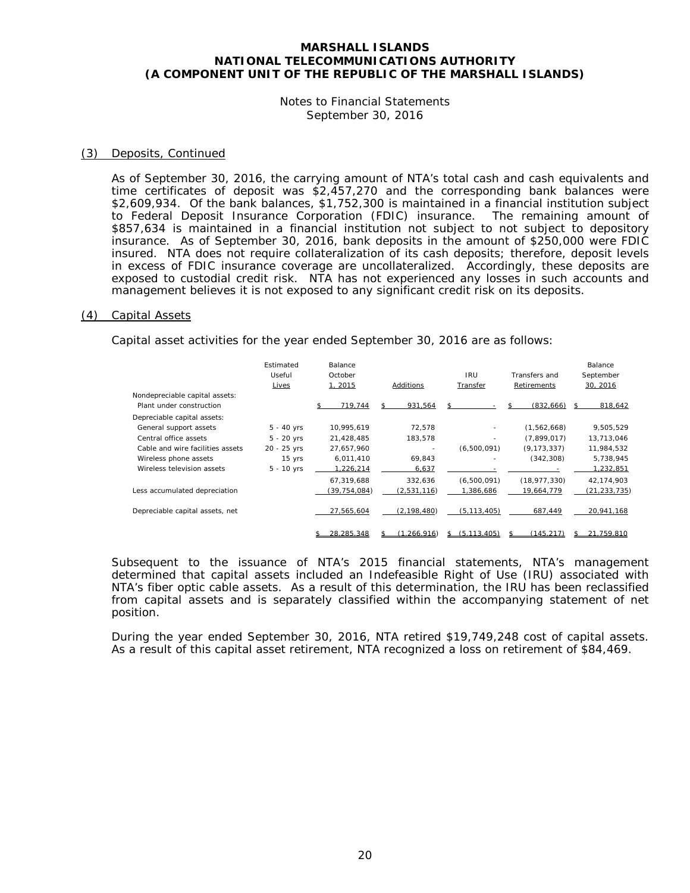## Notes to Financial Statements September 30, 2016

#### (3) Deposits, Continued

As of September 30, 2016, the carrying amount of NTA's total cash and cash equivalents and time certificates of deposit was \$2,457,270 and the corresponding bank balances were \$2,609,934. Of the bank balances, \$1,752,300 is maintained in a financial institution subject to Federal Deposit Insurance Corporation (FDIC) insurance. The remaining amount of \$857,634 is maintained in a financial institution not subject to not subject to depository insurance. As of September 30, 2016, bank deposits in the amount of \$250,000 were FDIC insured. NTA does not require collateralization of its cash deposits; therefore, deposit levels in excess of FDIC insurance coverage are uncollateralized. Accordingly, these deposits are exposed to custodial credit risk. NTA has not experienced any losses in such accounts and management believes it is not exposed to any significant credit risk on its deposits.

#### (4) Capital Assets

Capital asset activities for the year ended September 30, 2016 are as follows:

|                                  | Estimated    | Balance        |                |               |                | Balance        |
|----------------------------------|--------------|----------------|----------------|---------------|----------------|----------------|
|                                  | Useful       | October        |                | <b>IRU</b>    | Transfers and  | September      |
|                                  | Lives        | 1, 2015        | Additions      | Transfer      | Retirements    | 30, 2016       |
| Nondepreciable capital assets:   |              |                |                |               |                |                |
| Plant under construction         |              | \$<br>719.744  | 931,564<br>\$. | \$            | (832, 666)     | 818,642<br>\$. |
| Depreciable capital assets:      |              |                |                |               |                |                |
| General support assets           | $5 - 40$ yrs | 10.995.619     | 72,578         | ٠             | (1,562,668)    | 9,505,529      |
| Central office assets            | $5 - 20$ yrs | 21,428,485     | 183,578        | ۰             | (7,899,017)    | 13,713,046     |
| Cable and wire facilities assets | 20 - 25 yrs  | 27,657,960     | ٠              | (6,500,091)   | (9, 173, 337)  | 11,984,532     |
| Wireless phone assets            | 15 yrs       | 6,011,410      | 69,843         |               | (342, 308)     | 5,738,945      |
| Wireless television assets       | $5 - 10$ yrs | 1,226,214      | 6,637          |               |                | 1,232,851      |
|                                  |              | 67.319.688     | 332,636        | (6,500,091)   | (18, 977, 330) | 42,174,903     |
| Less accumulated depreciation    |              | (39, 754, 084) | (2,531,116)    | 1,386,686     | 19,664,779     | (21, 233, 735) |
| Depreciable capital assets, net  |              | 27,565,604     | (2, 198, 480)  | (5, 113, 405) | 687,449        | 20,941,168     |
|                                  |              | 28.285.348     | (1.266.916)    | (5.113.405)   | (145.217)      | 21.759.810     |

Subsequent to the issuance of NTA's 2015 financial statements, NTA's management determined that capital assets included an Indefeasible Right of Use (IRU) associated with NTA's fiber optic cable assets. As a result of this determination, the IRU has been reclassified from capital assets and is separately classified within the accompanying statement of net position.

During the year ended September 30, 2016, NTA retired \$19,749,248 cost of capital assets. As a result of this capital asset retirement, NTA recognized a loss on retirement of \$84,469.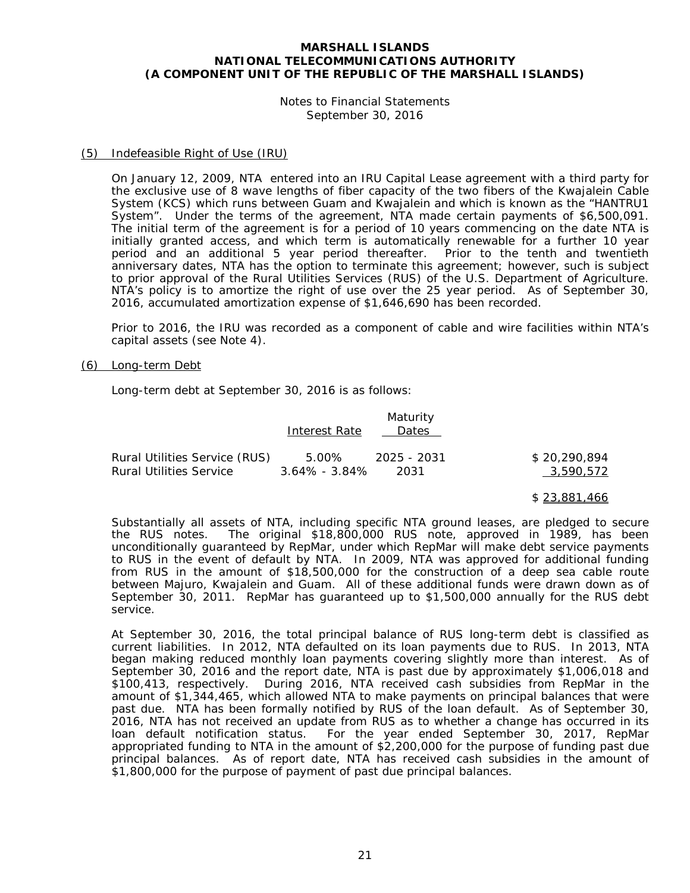Notes to Financial Statements September 30, 2016

#### (5) Indefeasible Right of Use (IRU)

On January 12, 2009, NTA entered into an IRU Capital Lease agreement with a third party for the exclusive use of 8 wave lengths of fiber capacity of the two fibers of the Kwajalein Cable System (KCS) which runs between Guam and Kwajalein and which is known as the "HANTRU1 System". Under the terms of the agreement, NTA made certain payments of \$6,500,091. The initial term of the agreement is for a period of 10 years commencing on the date NTA is initially granted access, and which term is automatically renewable for a further 10 year period and an additional 5 year period thereafter. Prior to the tenth and twentieth anniversary dates, NTA has the option to terminate this agreement; however, such is subject to prior approval of the Rural Utilities Services (RUS) of the U.S. Department of Agriculture. NTA's policy is to amortize the right of use over the 25 year period. As of September 30, 2016, accumulated amortization expense of \$1,646,690 has been recorded.

Prior to 2016, the IRU was recorded as a component of cable and wire facilities within NTA's capital assets (see Note 4).

#### (6) Long-term Debt

Long-term debt at September 30, 2016 is as follows:

|                               |               | Maturity    |              |
|-------------------------------|---------------|-------------|--------------|
|                               | Interest Rate | Dates       |              |
| Rural Utilities Service (RUS) | 5.00%         | 2025 - 2031 | \$20,290,894 |
| Rural Utilities Service       | 3.64% - 3.84% | -2031       | 3,590,572    |

#### \$ 23,881,466

Substantially all assets of NTA, including specific NTA ground leases, are pledged to secure the RUS notes. The original \$18,800,000 RUS note, approved in 1989, has been unconditionally guaranteed by RepMar, under which RepMar will make debt service payments to RUS in the event of default by NTA. In 2009, NTA was approved for additional funding from RUS in the amount of \$18,500,000 for the construction of a deep sea cable route between Majuro, Kwajalein and Guam. All of these additional funds were drawn down as of September 30, 2011. RepMar has guaranteed up to \$1,500,000 annually for the RUS debt service.

At September 30, 2016, the total principal balance of RUS long-term debt is classified as current liabilities. In 2012, NTA defaulted on its loan payments due to RUS. In 2013, NTA began making reduced monthly loan payments covering slightly more than interest. As of September 30, 2016 and the report date, NTA is past due by approximately \$1,006,018 and \$100,413, respectively. During 2016, NTA received cash subsidies from RepMar in the amount of \$1,344,465, which allowed NTA to make payments on principal balances that were past due. NTA has been formally notified by RUS of the loan default. As of September 30, 2016, NTA has not received an update from RUS as to whether a change has occurred in its loan default notification status. For the year ended September 30, 2017, RepMar appropriated funding to NTA in the amount of \$2,200,000 for the purpose of funding past due principal balances. As of report date, NTA has received cash subsidies in the amount of \$1,800,000 for the purpose of payment of past due principal balances.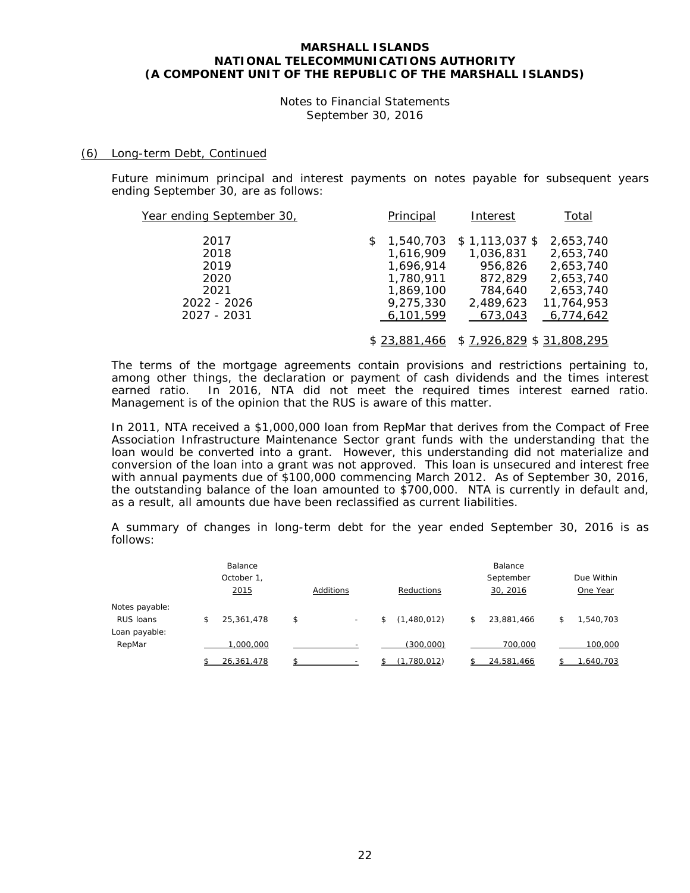# Notes to Financial Statements September 30, 2016

#### (6) Long-term Debt, Continued

Future minimum principal and interest payments on notes payable for subsequent years ending September 30, are as follows:

| Year ending September 30,                                          |   | Principal                                                                               | Interest                                                                              | Total                                                                                    |
|--------------------------------------------------------------------|---|-----------------------------------------------------------------------------------------|---------------------------------------------------------------------------------------|------------------------------------------------------------------------------------------|
| 2017<br>2018<br>2019<br>2020<br>2021<br>2022 - 2026<br>2027 - 2031 | S | 1,540,703<br>1.616.909<br>1,696,914<br>1,780,911<br>1,869,100<br>9,275,330<br>6,101,599 | $$1,113,037$ \$<br>1,036,831<br>956,826<br>872,829<br>784,640<br>2,489,623<br>673,043 | 2,653,740<br>2,653,740<br>2,653,740<br>2,653,740<br>2,653,740<br>11,764,953<br>6,774,642 |
|                                                                    |   | \$23,881,466                                                                            | \$7,926,829 \$31,808,295                                                              |                                                                                          |

The terms of the mortgage agreements contain provisions and restrictions pertaining to, among other things, the declaration or payment of cash dividends and the times interest earned ratio. In 2016, NTA did not meet the required times interest earned ratio. Management is of the opinion that the RUS is aware of this matter.

In 2011, NTA received a \$1,000,000 loan from RepMar that derives from the Compact of Free Association Infrastructure Maintenance Sector grant funds with the understanding that the loan would be converted into a grant. However, this understanding did not materialize and conversion of the loan into a grant was not approved. This loan is unsecured and interest free with annual payments due of \$100,000 commencing March 2012. As of September 30, 2016, the outstanding balance of the loan amounted to \$700,000. NTA is currently in default and, as a result, all amounts due have been reclassified as current liabilities.

A summary of changes in long-term debt for the year ended September 30, 2016 is as follows:

|                                              | Balance<br>October 1,<br>2015 | Additions                      |     | <b>Reductions</b> | Balance<br>September<br>30, 2016 | Due Within<br>One Year |
|----------------------------------------------|-------------------------------|--------------------------------|-----|-------------------|----------------------------------|------------------------|
| Notes payable:<br>RUS loans<br>Loan payable: | \$<br>25,361,478              | \$<br>$\overline{\phantom{a}}$ | \$. | (1,480,012)       | \$<br>23,881,466                 | \$<br>1,540,703        |
| RepMar                                       | 1,000,000                     |                                |     | (300,000)         | 700.000                          | 100,000                |
|                                              | 26.361.478                    |                                |     | .780.012)         | 24.581.466                       | .640.703               |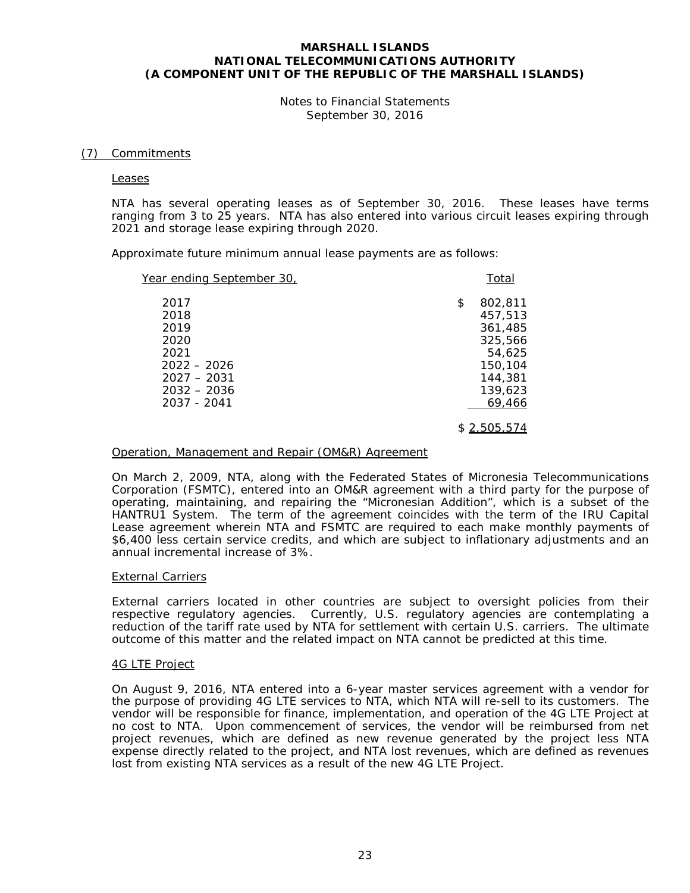Notes to Financial Statements September 30, 2016

## (7) Commitments

Leases

NTA has several operating leases as of September 30, 2016. These leases have terms ranging from 3 to 25 years. NTA has also entered into various circuit leases expiring through 2021 and storage lease expiring through 2020.

Approximate future minimum annual lease payments are as follows:

| Year ending September 30,                                                                              | Total                                                                                               |
|--------------------------------------------------------------------------------------------------------|-----------------------------------------------------------------------------------------------------|
| 2017<br>2018<br>2019<br>2020<br>2021<br>$2022 - 2026$<br>$2027 - 2031$<br>$2032 - 2036$<br>2037 - 2041 | 802,811<br>\$<br>457,513<br>361,485<br>325,566<br>54,625<br>150,104<br>144,381<br>139,623<br>69,466 |
|                                                                                                        | \$2,505,574                                                                                         |

#### Operation, Management and Repair (OM&R) Agreement

On March 2, 2009, NTA, along with the Federated States of Micronesia Telecommunications Corporation (FSMTC), entered into an OM&R agreement with a third party for the purpose of operating, maintaining, and repairing the "Micronesian Addition", which is a subset of the HANTRU1 System. The term of the agreement coincides with the term of the IRU Capital Lease agreement wherein NTA and FSMTC are required to each make monthly payments of \$6,400 less certain service credits, and which are subject to inflationary adjustments and an annual incremental increase of 3%.

## External Carriers

External carriers located in other countries are subject to oversight policies from their respective regulatory agencies. Currently, U.S. regulatory agencies are contemplating a reduction of the tariff rate used by NTA for settlement with certain U.S. carriers. The ultimate outcome of this matter and the related impact on NTA cannot be predicted at this time.

#### 4G LTE Project

On August 9, 2016, NTA entered into a 6-year master services agreement with a vendor for the purpose of providing 4G LTE services to NTA, which NTA will re-sell to its customers. The vendor will be responsible for finance, implementation, and operation of the 4G LTE Project at no cost to NTA. Upon commencement of services, the vendor will be reimbursed from net project revenues, which are defined as new revenue generated by the project less NTA expense directly related to the project, and NTA lost revenues, which are defined as revenues lost from existing NTA services as a result of the new 4G LTE Project.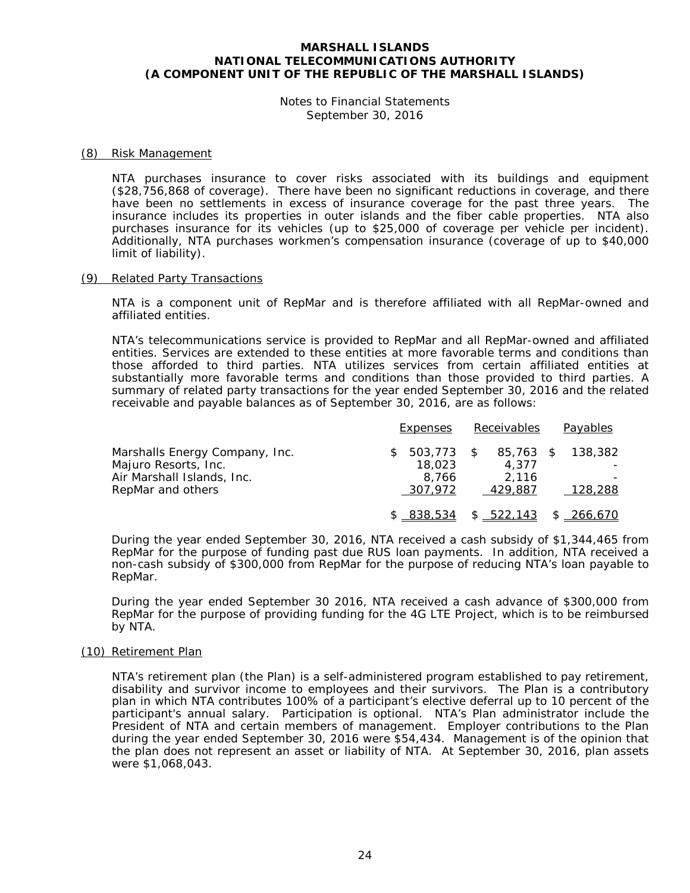Notes to Financial Statements September 30, 2016

#### (8) Risk Management

NTA purchases insurance to cover risks associated with its buildings and equipment (\$28,756,868 of coverage). There have been no significant reductions in coverage, and there have been no settlements in excess of insurance coverage for the past three years. The insurance includes its properties in outer islands and the fiber cable properties. NTA also purchases insurance for its vehicles (up to \$25,000 of coverage per vehicle per incident). Additionally, NTA purchases workmen's compensation insurance (coverage of up to \$40,000 limit of liability).

## (9) Related Party Transactions

NTA is a component unit of RepMar and is therefore affiliated with all RepMar-owned and affiliated entities.

NTA's telecommunications service is provided to RepMar and all RepMar-owned and affiliated entities. Services are extended to these entities at more favorable terms and conditions than those afforded to third parties. NTA utilizes services from certain affiliated entities at substantially more favorable terms and conditions than those provided to third parties. A summary of related party transactions for the year ended September 30, 2016 and the related receivable and payable balances as of September 30, 2016, are as follows:

|                                |  | Expenses   |  | Receivables |  | Payables    |  |
|--------------------------------|--|------------|--|-------------|--|-------------|--|
| Marshalls Energy Company, Inc. |  | 503,773    |  | 85.763 \$   |  | 138,382     |  |
| Majuro Resorts, Inc.           |  | 18,023     |  | 4.377       |  |             |  |
| Air Marshall Islands, Inc.     |  | 8.766      |  | 2.116       |  |             |  |
| RepMar and others              |  | 307.972    |  | 429.887     |  | 128,288     |  |
|                                |  | \$ 838,534 |  | \$ 522,143  |  | \$ _266,670 |  |

During the year ended September 30, 2016, NTA received a cash subsidy of \$1,344,465 from RepMar for the purpose of funding past due RUS loan payments. In addition, NTA received a non-cash subsidy of \$300,000 from RepMar for the purpose of reducing NTA's loan payable to RepMar.

During the year ended September 30 2016, NTA received a cash advance of \$300,000 from RepMar for the purpose of providing funding for the 4G LTE Project, which is to be reimbursed by NTA.

## (10) Retirement Plan

NTA's retirement plan (the Plan) is a self-administered program established to pay retirement, disability and survivor income to employees and their survivors. The Plan is a contributory plan in which NTA contributes 100% of a participant's elective deferral up to 10 percent of the participant's annual salary. Participation is optional. NTA's Plan administrator include the President of NTA and certain members of management. Employer contributions to the Plan during the year ended September 30, 2016 were \$54,434. Management is of the opinion that the plan does not represent an asset or liability of NTA. At September 30, 2016, plan assets were \$1,068,043.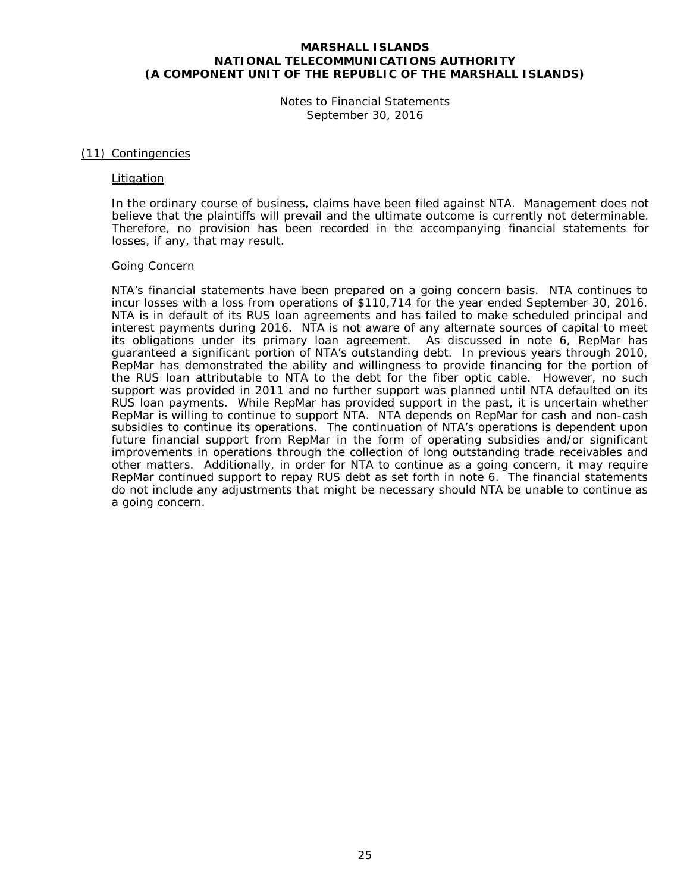Notes to Financial Statements September 30, 2016

## (11) Contingencies

#### Litigation

In the ordinary course of business, claims have been filed against NTA. Management does not believe that the plaintiffs will prevail and the ultimate outcome is currently not determinable. Therefore, no provision has been recorded in the accompanying financial statements for losses, if any, that may result.

#### Going Concern

NTA's financial statements have been prepared on a going concern basis. NTA continues to incur losses with a loss from operations of \$110,714 for the year ended September 30, 2016. NTA is in default of its RUS loan agreements and has failed to make scheduled principal and interest payments during 2016. NTA is not aware of any alternate sources of capital to meet its obligations under its primary loan agreement. As discussed in note 6, RepMar has guaranteed a significant portion of NTA's outstanding debt. In previous years through 2010, RepMar has demonstrated the ability and willingness to provide financing for the portion of the RUS loan attributable to NTA to the debt for the fiber optic cable. However, no such support was provided in 2011 and no further support was planned until NTA defaulted on its RUS loan payments. While RepMar has provided support in the past, it is uncertain whether RepMar is willing to continue to support NTA. NTA depends on RepMar for cash and non-cash subsidies to continue its operations. The continuation of NTA's operations is dependent upon future financial support from RepMar in the form of operating subsidies and/or significant improvements in operations through the collection of long outstanding trade receivables and other matters. Additionally, in order for NTA to continue as a going concern, it may require RepMar continued support to repay RUS debt as set forth in note 6. The financial statements do not include any adjustments that might be necessary should NTA be unable to continue as a going concern.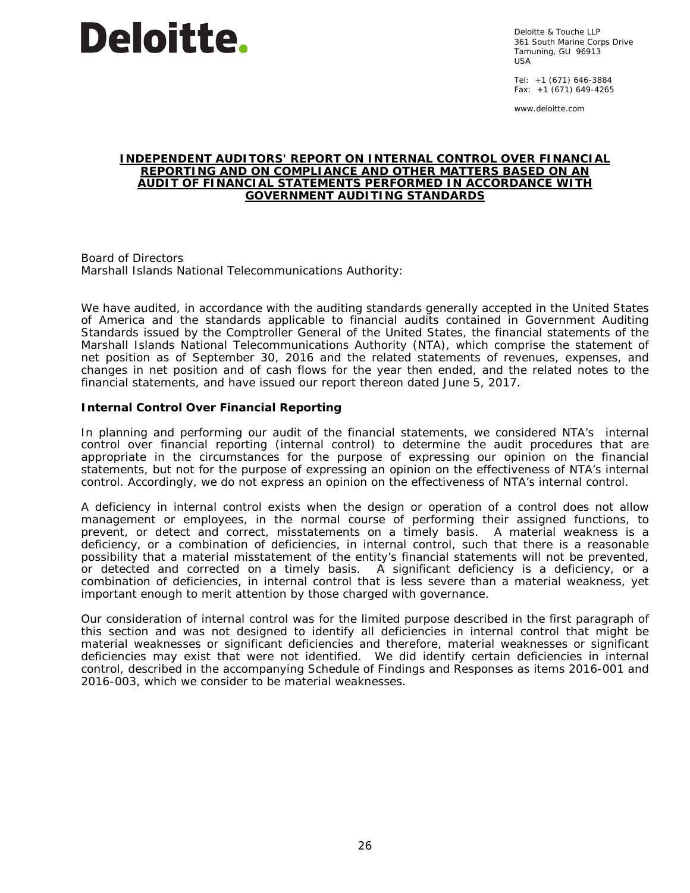

Deloitte & Touche LLP 361 South Marine Corps Drive Tamuning, GU 96913 USA

Tel: +1 (671) 646-3884 Fax: +1 (671) 649-4265

www.deloitte.com

#### **INDEPENDENT AUDITORS' REPORT ON INTERNAL CONTROL OVER FINANCIAL REPORTING AND ON COMPLIANCE AND OTHER MATTERS BASED ON AN AUDIT OF FINANCIAL STATEMENTS PERFORMED IN ACCORDANCE WITH** *GOVERNMENT AUDITING STANDARDS*

Board of Directors Marshall Islands National Telecommunications Authority:

We have audited, in accordance with the auditing standards generally accepted in the United States of America and the standards applicable to financial audits contained in *Government Auditing Standards* issued by the Comptroller General of the United States, the financial statements of the Marshall Islands National Telecommunications Authority (NTA), which comprise the statement of net position as of September 30, 2016 and the related statements of revenues, expenses, and changes in net position and of cash flows for the year then ended, and the related notes to the financial statements, and have issued our report thereon dated June 5, 2017.

## **Internal Control Over Financial Reporting**

In planning and performing our audit of the financial statements, we considered NTA's internal control over financial reporting (internal control) to determine the audit procedures that are appropriate in the circumstances for the purpose of expressing our opinion on the financial statements, but not for the purpose of expressing an opinion on the effectiveness of NTA's internal control. Accordingly, we do not express an opinion on the effectiveness of NTA's internal control.

A *deficiency in internal control* exists when the design or operation of a control does not allow management or employees, in the normal course of performing their assigned functions, to prevent, or detect and correct, misstatements on a timely basis. A *material weakness* is a deficiency, or a combination of deficiencies, in internal control, such that there is a reasonable possibility that a material misstatement of the entity's financial statements will not be prevented, or detected and corrected on a timely basis. A *significant deficiency* is a deficiency, or a combination of deficiencies, in internal control that is less severe than a material weakness, yet important enough to merit attention by those charged with governance.

Our consideration of internal control was for the limited purpose described in the first paragraph of this section and was not designed to identify all deficiencies in internal control that might be material weaknesses or significant deficiencies and therefore, material weaknesses or significant deficiencies may exist that were not identified. We did identify certain deficiencies in internal control, described in the accompanying Schedule of Findings and Responses as items 2016-001 and 2016-003, which we consider to be material weaknesses.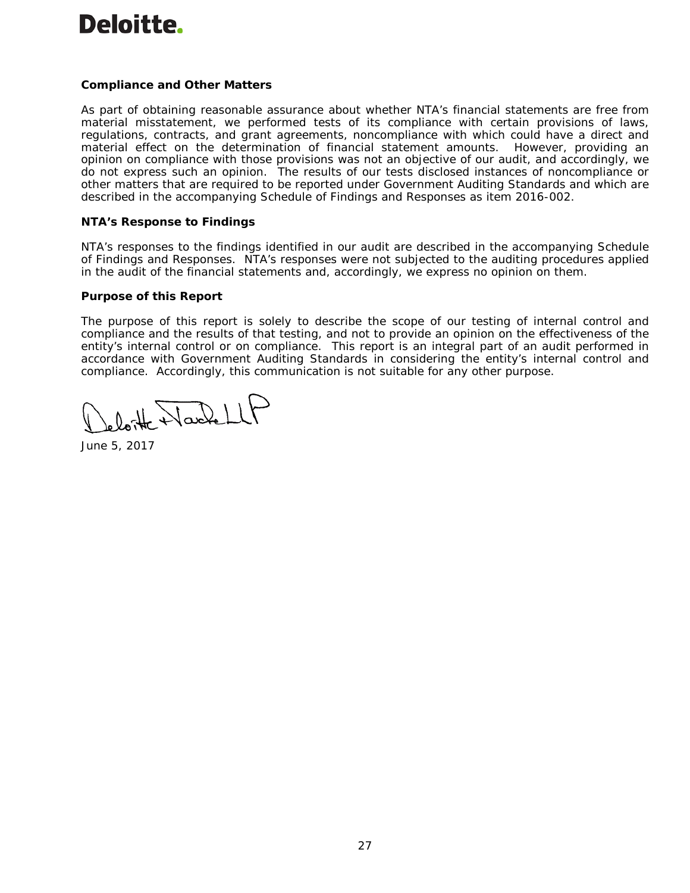# Deloitte.

# **Compliance and Other Matters**

As part of obtaining reasonable assurance about whether NTA's financial statements are free from material misstatement, we performed tests of its compliance with certain provisions of laws, regulations, contracts, and grant agreements, noncompliance with which could have a direct and material effect on the determination of financial statement amounts. However, providing an opinion on compliance with those provisions was not an objective of our audit, and accordingly, we do not express such an opinion. The results of our tests disclosed instances of noncompliance or other matters that are required to be reported under *Government Auditing Standards* and which are described in the accompanying Schedule of Findings and Responses as item 2016-002.

# **NTA's Response to Findings**

NTA's responses to the findings identified in our audit are described in the accompanying Schedule of Findings and Responses. NTA's responses were not subjected to the auditing procedures applied in the audit of the financial statements and, accordingly, we express no opinion on them.

## **Purpose of this Report**

The purpose of this report is solely to describe the scope of our testing of internal control and compliance and the results of that testing, and not to provide an opinion on the effectiveness of the entity's internal control or on compliance. This report is an integral part of an audit performed in accordance with *Government Auditing Standards* in considering the entity's internal control and compliance. Accordingly, this communication is not suitable for any other purpose.

loite Harlell

June 5, 2017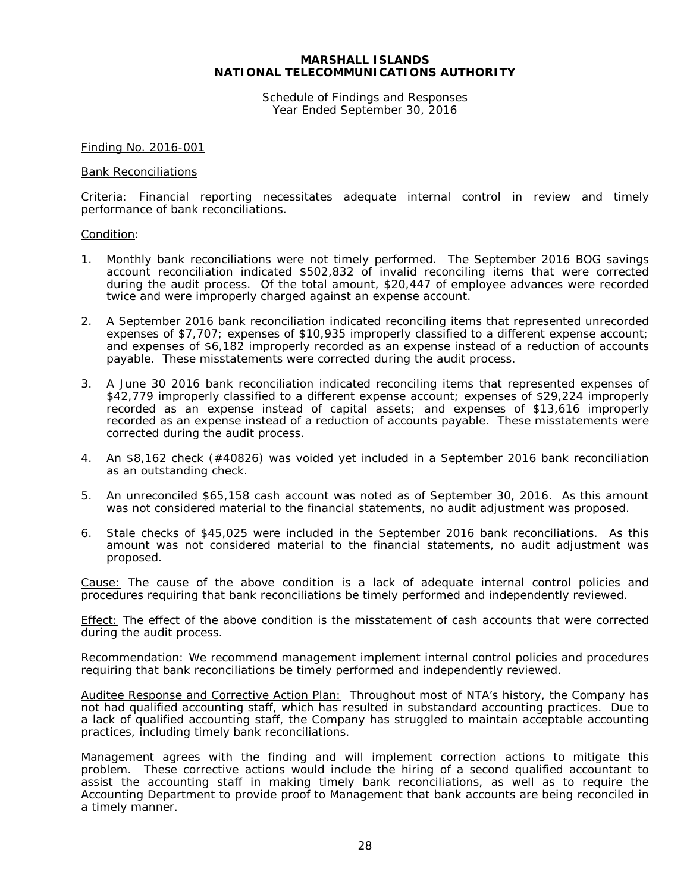Schedule of Findings and Responses Year Ended September 30, 2016

Finding No. 2016-001

#### Bank Reconciliations

Criteria: Financial reporting necessitates adequate internal control in review and timely performance of bank reconciliations.

#### Condition:

- 1. Monthly bank reconciliations were not timely performed. The September 2016 BOG savings account reconciliation indicated \$502,832 of invalid reconciling items that were corrected during the audit process. Of the total amount, \$20,447 of employee advances were recorded twice and were improperly charged against an expense account.
- 2. A September 2016 bank reconciliation indicated reconciling items that represented unrecorded expenses of \$7,707; expenses of \$10,935 improperly classified to a different expense account; and expenses of \$6,182 improperly recorded as an expense instead of a reduction of accounts payable. These misstatements were corrected during the audit process.
- 3. A June 30 2016 bank reconciliation indicated reconciling items that represented expenses of \$42,779 improperly classified to a different expense account; expenses of \$29,224 improperly recorded as an expense instead of capital assets; and expenses of \$13,616 improperly recorded as an expense instead of a reduction of accounts payable. These misstatements were corrected during the audit process.
- 4. An \$8,162 check (#40826) was voided yet included in a September 2016 bank reconciliation as an outstanding check.
- 5. An unreconciled \$65,158 cash account was noted as of September 30, 2016. As this amount was not considered material to the financial statements, no audit adjustment was proposed.
- 6. Stale checks of \$45,025 were included in the September 2016 bank reconciliations. As this amount was not considered material to the financial statements, no audit adjustment was proposed.

Cause: The cause of the above condition is a lack of adequate internal control policies and procedures requiring that bank reconciliations be timely performed and independently reviewed.

Effect: The effect of the above condition is the misstatement of cash accounts that were corrected during the audit process.

Recommendation: We recommend management implement internal control policies and procedures requiring that bank reconciliations be timely performed and independently reviewed.

Auditee Response and Corrective Action Plan: Throughout most of NTA's history, the Company has not had qualified accounting staff, which has resulted in substandard accounting practices. Due to a lack of qualified accounting staff, the Company has struggled to maintain acceptable accounting practices, including timely bank reconciliations.

Management agrees with the finding and will implement correction actions to mitigate this problem. These corrective actions would include the hiring of a second qualified accountant to assist the accounting staff in making timely bank reconciliations, as well as to require the Accounting Department to provide proof to Management that bank accounts are being reconciled in a timely manner.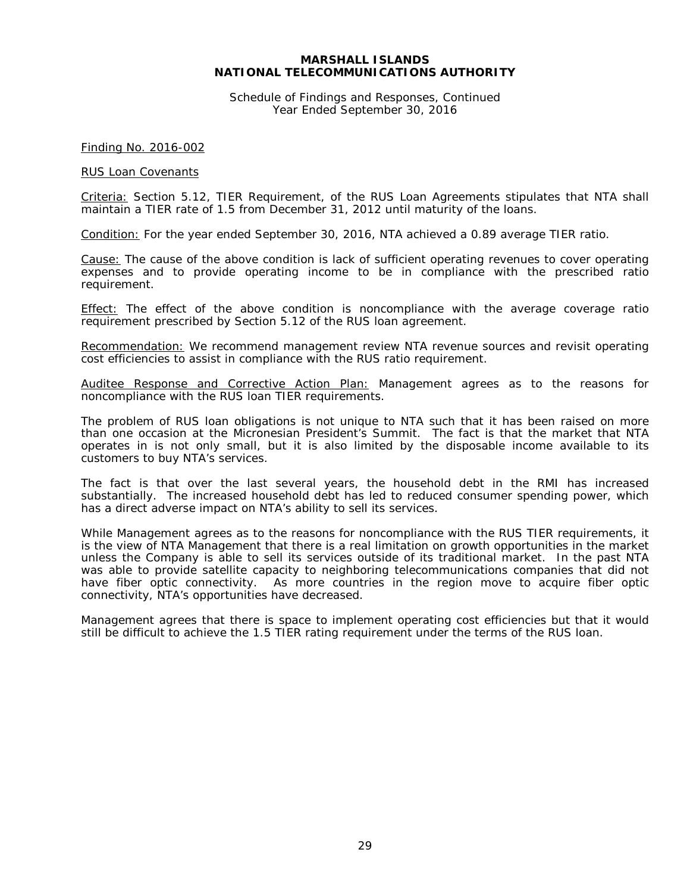Schedule of Findings and Responses, Continued Year Ended September 30, 2016

Finding No. 2016-002

#### RUS Loan Covenants

Criteria: Section 5.12, *TIER Requirement*, of the RUS Loan Agreements stipulates that NTA shall maintain a TIER rate of 1.5 from December 31, 2012 until maturity of the loans.

Condition: For the year ended September 30, 2016, NTA achieved a 0.89 average TIER ratio.

Cause: The cause of the above condition is lack of sufficient operating revenues to cover operating expenses and to provide operating income to be in compliance with the prescribed ratio requirement.

Effect: The effect of the above condition is noncompliance with the average coverage ratio requirement prescribed by Section 5.12 of the RUS loan agreement.

Recommendation: We recommend management review NTA revenue sources and revisit operating cost efficiencies to assist in compliance with the RUS ratio requirement.

Auditee Response and Corrective Action Plan: Management agrees as to the reasons for noncompliance with the RUS loan TIER requirements.

The problem of RUS loan obligations is not unique to NTA such that it has been raised on more than one occasion at the Micronesian President's Summit. The fact is that the market that NTA operates in is not only small, but it is also limited by the disposable income available to its customers to buy NTA's services.

The fact is that over the last several years, the household debt in the RMI has increased substantially. The increased household debt has led to reduced consumer spending power, which has a direct adverse impact on NTA's ability to sell its services.

While Management agrees as to the reasons for noncompliance with the RUS TIER requirements, it is the view of NTA Management that there is a real limitation on growth opportunities in the market unless the Company is able to sell its services outside of its traditional market. In the past NTA was able to provide satellite capacity to neighboring telecommunications companies that did not have fiber optic connectivity. As more countries in the region move to acquire fiber optic connectivity, NTA's opportunities have decreased.

Management agrees that there is space to implement operating cost efficiencies but that it would still be difficult to achieve the 1.5 TIER rating requirement under the terms of the RUS loan.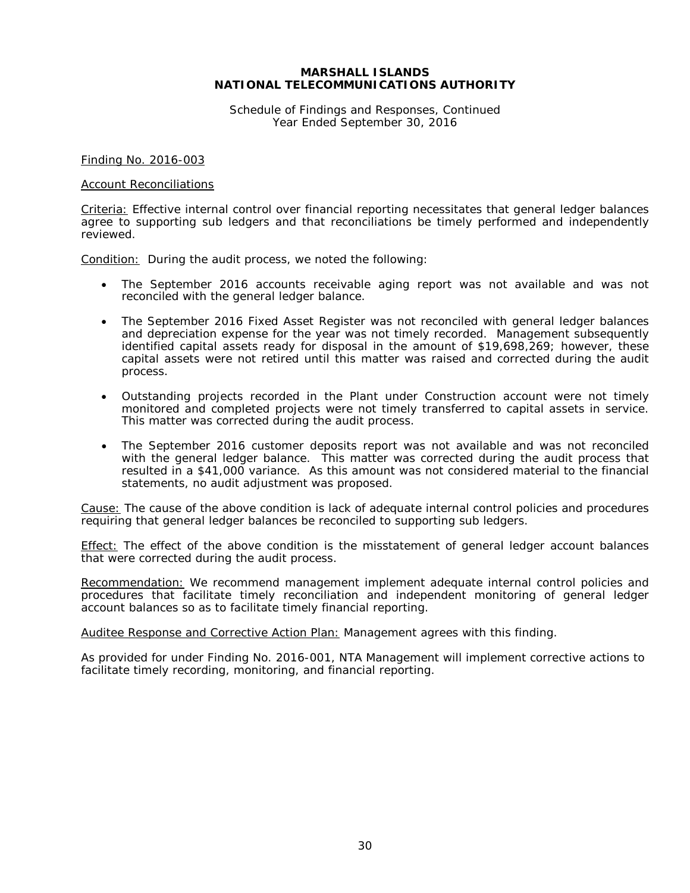Schedule of Findings and Responses, Continued Year Ended September 30, 2016

## Finding No. 2016-003

## Account Reconciliations

Criteria: Effective internal control over financial reporting necessitates that general ledger balances agree to supporting sub ledgers and that reconciliations be timely performed and independently reviewed.

Condition: During the audit process, we noted the following:

- The September 2016 accounts receivable aging report was not available and was not reconciled with the general ledger balance.
- The September 2016 Fixed Asset Register was not reconciled with general ledger balances and depreciation expense for the year was not timely recorded. Management subsequently identified capital assets ready for disposal in the amount of \$19,698,269; however, these capital assets were not retired until this matter was raised and corrected during the audit process.
- Outstanding projects recorded in the Plant under Construction account were not timely monitored and completed projects were not timely transferred to capital assets in service. This matter was corrected during the audit process.
- The September 2016 customer deposits report was not available and was not reconciled with the general ledger balance. This matter was corrected during the audit process that resulted in a \$41,000 variance. As this amount was not considered material to the financial statements, no audit adjustment was proposed.

Cause: The cause of the above condition is lack of adequate internal control policies and procedures requiring that general ledger balances be reconciled to supporting sub ledgers.

**Effect:** The effect of the above condition is the misstatement of general ledger account balances that were corrected during the audit process.

Recommendation: We recommend management implement adequate internal control policies and procedures that facilitate timely reconciliation and independent monitoring of general ledger account balances so as to facilitate timely financial reporting.

Auditee Response and Corrective Action Plan: Management agrees with this finding.

As provided for under Finding No. 2016-001, NTA Management will implement corrective actions to facilitate timely recording, monitoring, and financial reporting.